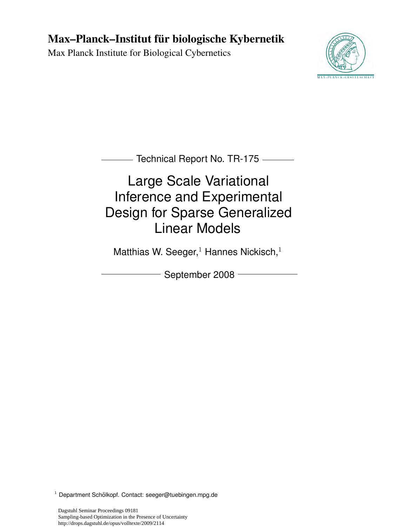## Max–Planck–Institut für biologische Kybernetik

Max Planck Institute for Biological Cybernetics



Technical Report No. TR-175

# Large Scale Variational Inference and Experimental Design for Sparse Generalized Linear Models

Matthias W. Seeger, $1$  Hannes Nickisch, $1$ 

September 2008 -

 $1$  Department Schölkopf. Contact: seeger@tuebingen.mpg.de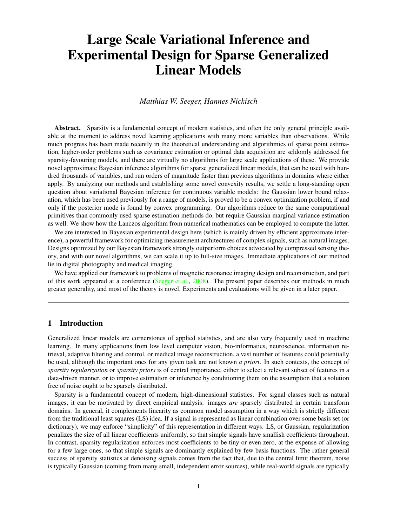## Large Scale Variational Inference and Experimental Design for Sparse Generalized Linear Models

*Matthias W. Seeger, Hannes Nickisch*

Abstract. Sparsity is a fundamental concept of modern statistics, and often the only general principle available at the moment to address novel learning applications with many more variables than observations. While much progress has been made recently in the theoretical understanding and algorithmics of sparse point estimation, higher-order problems such as covariance estimation or optimal data acquisition are seldomly addressed for sparsity-favouring models, and there are virtually no algorithms for large scale applications of these. We provide novel approximate Bayesian inference algorithms for sparse generalized linear models, that can be used with hundred thousands of variables, and run orders of magnitude faster than previous algorithms in domains where either apply. By analyzing our methods and establishing some novel convexity results, we settle a long-standing open question about variational Bayesian inference for continuous variable models: the Gaussian lower bound relaxation, which has been used previously for a range of models, is proved to be a convex optimization problem, if and only if the posterior mode is found by convex programming. Our algorithms reduce to the same computational primitives than commonly used sparse estimation methods do, but require Gaussian marginal variance estimation as well. We show how the Lanczos algorithm from numerical mathematics can be employed to compute the latter.

We are interested in Bayesian experimental design here (which is mainly driven by efficient approximate inference), a powerful framework for optimizing measurement architectures of complex signals, such as natural images. Designs optimized by our Bayesian framework strongly outperform choices advocated by compressed sensing theory, and with our novel algorithms, we can scale it up to full-size images. Immediate applications of our method lie in digital photography and medical imaging.

We have applied our framework to problems of magnetic resonance imaging design and reconstruction, and part of this work appeared at a conference [\(Seeger et al.,](#page-28-0) [2008\)](#page-28-0). The present paper describes our methods in much greater generality, and most of the theory is novel. Experiments and evaluations will be given in a later paper.

## <span id="page-1-0"></span>1 Introduction

Generalized linear models are cornerstones of applied statistics, and are also very frequently used in machine learning. In many applications from low level computer vision, bio-informatics, neuroscience, information retrieval, adaptive filtering and control, or medical image reconstruction, a vast number of features could potentially be used, although the important ones for any given task are not known *a priori*. In such contexts, the concept of *sparsity regularization* or *sparsity priors* is of central importance, either to select a relevant subset of features in a data-driven manner, or to improve estimation or inference by conditioning them on the assumption that a solution free of noise ought to be sparsely distributed.

Sparsity is a fundamental concept of modern, high-dimensional statistics. For signal classes such as natural images, it can be motivated by direct empirical analysis: images *are* sparsely distributed in certain transform domains. In general, it complements linearity as common model assumption in a way which is strictly different from the traditional least squares (LS) idea. If a signal is represented as linear combination over some basis set (or dictionary), we may enforce "simplicity" of this representation in different ways. LS, or Gaussian, regularization penalizes the size of all linear coefficients uniformly, so that simple signals have smallish coefficients throughout. In contrast, sparsity regularization enforces most coefficients to be tiny or even zero, at the expense of allowing for a few large ones, so that simple signals are dominantly explained by few basis functions. The rather general success of sparsity statistics at denoising signals comes from the fact that, due to the central limit theorem, noise is typically Gaussian (coming from many small, independent error sources), while real-world signals are typically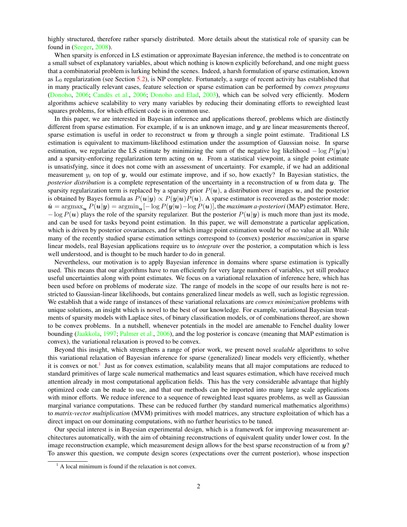highly structured, therefore rather sparsely distributed. More details about the statistical role of sparsity can be found in [\(Seeger,](#page-28-1) [2008\)](#page-28-1).

When sparsity is enforced in LS estimation or approximate Bayesian inference, the method is to concentrate on a small subset of explanatory variables, about which nothing is known explicitly beforehand, and one might guess that a combinatorial problem is lurking behind the scenes. Indeed, a harsh formulation of sparse estimation, known as  $L_0$  regularization (see Section [5.2\)](#page-16-0), is NP complete. Fortunately, a surge of recent activity has established that in many practically relevant cases, feature selection or sparse estimation can be performed by *convex programs* [\(Donoho,](#page-27-0) [2006;](#page-27-1) Candès et al., 2006; [Donoho and Elad,](#page-27-2) [2003\)](#page-27-2), which can be solved very efficiently. Modern algorithms achieve scalability to very many variables by reducing their dominating efforts to reweighted least squares problems, for which efficient code is in common use.

In this paper, we are interested in Bayesian inference and applications thereof, problems which are distinctly different from sparse estimation. For example, if  $u$  is an unknown image, and  $y$  are linear measurements thereof, sparse estimation is useful in order to reconstruct  $u$  from  $y$  through a single point estimate. Traditional LS estimation is equivalent to maximum-likelihood estimation under the assumption of Gaussian noise. In sparse estimation, we regularize the LS estimate by minimizing the sum of the negative log likelihood  $-\log P(y|\mathbf{u})$ and a sparsity-enforcing regularization term acting on  $u$ . From a statistical viewpoint, a single point estimate is unsatisfying, since it does not come with an assessment of uncertainty. For example, if we had an additional measurement  $y_i$  on top of y, would our estimate improve, and if so, how exactly? In Bayesian statistics, the *posterior distribution* is a complete representation of the uncertainty in a reconstruction of  $u$  from data  $y$ . The sparsity regularization term is replaced by a sparsity prior  $P(u)$ , a distribution over images u, and the posterior is obtained by Bayes formula as  $P(u|y) \propto P(y|u)P(u)$ . A sparse estimator is recovered as the posterior mode:  $\hat{u}$  = argmax<sub>u</sub>  $P(u|y)$  = argmin<sub>u</sub> $[-\log P(y|u) - \log P(u)]$ , the *maximum a-posteriori* (MAP) estimator. Here,  $-\log P(u)$  plays the role of the sparsity regularizer. But the posterior  $P(u|y)$  is much more than just its mode, and can be used for tasks beyond point estimation. In this paper, we will demonstrate a particular application, which is driven by posterior covariances, and for which image point estimation would be of no value at all. While many of the recently studied sparse estimation settings correspond to (convex) posterior *maximization* in sparse linear models, real Bayesian applications require us to *integrate* over the posterior, a computation which is less well understood, and is thought to be much harder to do in general.

Nevertheless, our motivation is to apply Bayesian inference in domains where sparse estimation is typically used. This means that our algorithms have to run efficiently for very large numbers of variables, yet still produce useful uncertainties along with point estimates. We focus on a variational relaxation of inference here, which has been used before on problems of moderate size. The range of models in the scope of our results here is not restricted to Gaussian-linear likelihoods, but contains generalized linear models as well, such as logistic regression. We establish that a wide range of instances of these variational relaxations are *convex minimization* problems with unique solutions, an insight which is novel to the best of our knowledge. For example, variational Bayesian treatments of sparsity models with Laplace sites, of binary classification models, or of combinations thereof, are shown to be convex problems. In a nutshell, whenever potentials in the model are amenable to Fenchel duality lower bounding [\(Jaakkola,](#page-27-3) [1997;](#page-27-3) [Palmer et al.,](#page-27-4) [2006\)](#page-27-4), and the log posterior is concave (meaning that MAP estimation is convex), the variational relaxation is proved to be convex.

Beyond this insight, which strengthens a range of prior work, we present novel *scalable* algorithms to solve this variational relaxation of Bayesian inference for sparse (generalized) linear models very efficiently, whether it is convex or not.<sup>[1](#page-2-0)</sup> Just as for convex estimation, scalability means that all major computations are reduced to standard primitives of large scale numerical mathematics and least squares estimation, which have received much attention already in most computational application fields. This has the very considerable advantage that highly optimized code can be made to use, and that our methods can be imported into many large scale applications with minor efforts. We reduce inference to a sequence of reweighted least squares problems, as well as Gaussian marginal variance computations. These can be reduced further (by standard numerical mathematics algorithms) to *matrix-vector multiplication* (MVM) primitives with model matrices, any structure exploitation of which has a direct impact on our dominating computations, with no further heuristics to be tuned.

Our special interest is in Bayesian experimental design, which is a framework for improving measurement architectures automatically, with the aim of obtaining reconstructions of equivalent quality under lower cost. In the image reconstruction example, which measurement design allows for the best sparse reconstruction of  $u$  from  $y$ ? To answer this question, we compute design scores (expectations over the current posterior), whose inspection

<span id="page-2-0"></span> $<sup>1</sup>$  A local minimum is found if the relaxation is not convex.</sup>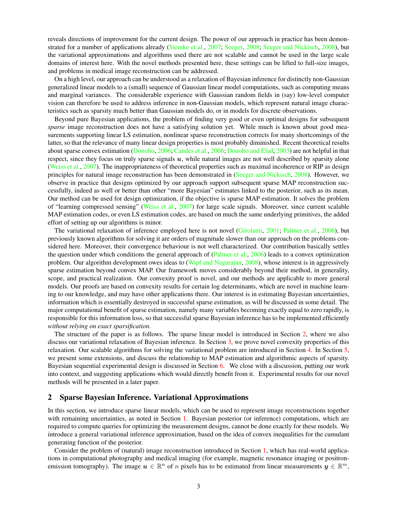reveals directions of improvement for the current design. The power of our approach in practice has been demonstrated for a number of applications already [\(Steinke et al.,](#page-28-2) [2007;](#page-28-2) [Seeger,](#page-28-1) [2008;](#page-28-1) [Seeger and Nickisch,](#page-28-3) [2008\)](#page-28-3), but the variational approximations and algorithms used there are not scalable and cannot be used in the large scale domains of interest here. With the novel methods presented here, these settings can be lifted to full-size images, and problems in medical image reconstruction can be addressed.

On a high level, our approach can be understood as a relaxation of Bayesian inference for distinctly non-Gaussian generalized linear models to a (small) sequence of Gaussian linear model computations, such as computing means and marginal variances. The considerable experience with Gaussian random fields in (say) low-level computer vision can therefore be used to address inference in non-Gaussian models, which represent natural image characteristics such as sparsity much better than Gaussian models do, or in models for discrete observations.

Beyond pure Bayesian applications, the problem of finding very good or even optimal designs for subsequent *sparse* image reconstruction does not have a satisfying solution yet. While much is known about good measurements supporting linear LS estimation, nonlinear sparse reconstruction corrects for many shortcomings of the latter, so that the relevance of many linear design properties is most probably diminished. Recent theoretical results about sparse convex estimation [\(Donoho,](#page-27-0) [2006;](#page-27-1) Candès et al., 2006; [Donoho and Elad,](#page-27-2) [2003\)](#page-27-2) are not helpful in that respect, since they focus on truly sparse signals  $u$ , while natural images are not well described by sparsity alone [\(Weiss et al.,](#page-28-4) [2007\)](#page-28-4). The inappropriateness of theoretical properties such as maximal incoherence or RIP as design principles for natural image reconstruction has been demonstrated in [\(Seeger and Nickisch,](#page-28-3) [2008\)](#page-28-3). However, we observe in practice that designs optimized by our approach support subsequent sparse MAP reconstruction successfully, indeed as well or better than other "more Bayesian" estimates linked to the posterior, such as its mean. Our method can be used for design optimization, if the objective is sparse MAP estimation. It solves the problem of "learning compressed sensing" [\(Weiss et al.,](#page-28-4) [2007\)](#page-28-4) for large scale signals. Moreover, since current scalable MAP estimation codes, or even LS estimation codes, are based on much the same underlying primitives, the added effort of setting up our algorithms is minor.

The variational relaxation of inference employed here is not novel [\(Girolami,](#page-27-5) [2001;](#page-27-5) [Palmer et al.,](#page-27-4) [2006\)](#page-27-4), but previously known algorithms for solving it are orders of magnitude slower than our approach on the problems considered here. Moreover, their convergence behaviour is not well characterized. Our contribution basically settles the question under which conditions the general approach of  $(Palmer et al., 2006)$  $(Palmer et al., 2006)$  $(Palmer et al., 2006)$  leads to a convex optimization problem. Our algorithm development owes ideas to [\(Wipf and Nagarajan,](#page-28-5) [2008\)](#page-28-5), whose interest is in aggressively sparse estimation beyond convex MAP. Our framework moves considerably beyond their method, in generality, scope, and practical realization. Our convexity proof is novel, and our methods are applicable to more general models. Our proofs are based on convexity results for certain log determinants, which are novel in machine learning to our knowledge, and may have other applications there. Our interest is in estimating Bayesian uncertainties, information which is essentially destroyed in successful sparse estimation, as will be discussed in some detail. The major computational benefit of sparse estimation, namely many variables becoming exactly equal to zero rapidly, is responsible for this information loss, so that successful sparse Bayesian inference has to be implemented efficiently *without relying on exact sparsification*.

The structure of the paper is as follows. The sparse linear model is introduced in Section [2,](#page-3-0) where we also discuss our variational relaxation of Bayesian inference. In Section [3,](#page-6-0) we prove novel convexity properties of this relaxation. Our scalable algorithms for solving the variational problem are introduced in Section [4.](#page-9-0) In Section [5,](#page-15-0) we present some extensions, and discuss the relationship to MAP estimation and algorithmic aspects of sparsity. Bayesian sequential experimental design is discussed in Section [6.](#page-18-0) We close with a discussion, putting our work into context, and suggesting applications which would directly benefit from it. Experimental results for our novel methods will be presented in a later paper.

## <span id="page-3-0"></span>2 Sparse Bayesian Inference. Variational Approximations

In this section, we introduce sparse linear models, which can be used to represent image reconstructions together with remaining uncertainties, as noted in Section [1.](#page-1-0) Bayesian posterior (or inference) computations, which are required to compute queries for optimizing the measurement designs, cannot be done exactly for these models. We introduce a general variational inference approximation, based on the idea of convex inequalities for the cumulant generating function of the posterior.

Consider the problem of (natural) image reconstruction introduced in Section [1,](#page-1-0) which has real-world applications in computational photography and medical imaging (for example, magnetic resonance imaging or positronemission tomography). The image  $u \in \mathbb{R}^n$  of n pixels has to be estimated from linear measurements  $y \in \mathbb{R}^m$ ,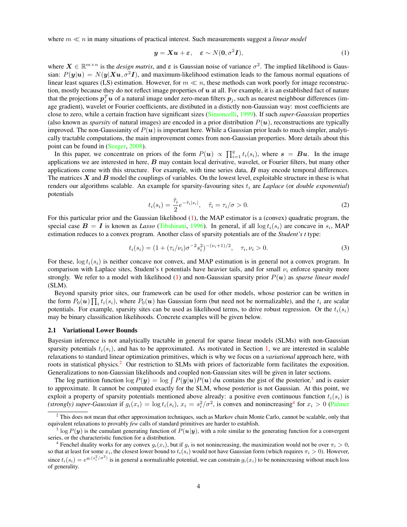where  $m \ll n$  in many situations of practical interest. Such measurements suggest a *linear model* 

<span id="page-4-0"></span>
$$
\mathbf{y} = \mathbf{X}\mathbf{u} + \boldsymbol{\varepsilon}, \quad \boldsymbol{\varepsilon} \sim N(\mathbf{0}, \sigma^2 \mathbf{I}), \tag{1}
$$

where  $X \in \mathbb{R}^{m \times n}$  is the *design matrix*, and  $\varepsilon$  is Gaussian noise of variance  $\sigma^2$ . The implied likelihood is Gaussian:  $P(y|u) = N(y|Xu, \sigma^2I)$ , and maximum-likelihood estimation leads to the famous normal equations of linear least squares (LS) estimation. However, for  $m \ll n$ , these methods can work poorly for image reconstruction, mostly because they do not reflect image properties of  $u$  at all. For example, it is an established fact of nature that the projections  $p_j^T\bm{u}$  of a natural image under zero-mean filters  $\bm{p}_j$ , such as nearest neighbour differences (image gradient), wavelet or Fourier coefficients, are distibuted in a distictly non-Gaussian way: most coefficients are close to zero, while a certain fraction have significant sizes [\(Simoncelli,](#page-28-6) [1999\)](#page-28-6). If such *super-Gaussian* properties (also known as *sparsity* of natural images) are encoded in a prior distribution  $P(u)$ , reconstructions are typically improved. The non-Gaussianity of  $P(u)$  is important here. While a Gaussian prior leads to much simpler, analytically tractable computations, the main improvement comes from non-Gaussian properties. More details about this point can be found in [\(Seeger,](#page-28-1) [2008\)](#page-28-1).

In this paper, we concentrate on priors of the form  $P(u) \propto \prod_{i=1}^{q} t_i(s_i)$ , where  $s = Bu$ . In the image applications we are interested in here,  $B$  may contain local derivative, wavelet, or Fourier filters, but many other applications come with this structure. For example, with time series data,  $\bm{B}$  may encode temporal differences. The matrices  $X$  and  $B$  model the couplings of variables. On the lowest level, exploitable structure in these is what renders our algorithms scalable. An example for sparsity-favouring sites  $t_i$  are *Laplace* (or *double exponential*) potentials

<span id="page-4-4"></span>
$$
t_i(s_i) = \frac{\tilde{\tau}_i}{2} e^{-\tilde{\tau}_i|s_i|}, \quad \tilde{\tau}_i = \tau_i/\sigma > 0.
$$
 (2)

For this particular prior and the Gaussian likelihood [\(1\)](#page-4-0), the MAP estimator is a (convex) quadratic program, the special case  $B = I$  is known as *Lasso* [\(Tibshirani,](#page-28-7) [1996\)](#page-28-7). In general, if all  $\log t_i(s_i)$  are concave in  $s_i$ , MAP estimation reduces to a convex program. Another class of sparsity potentials are of the *Student's t* type:

<span id="page-4-5"></span>
$$
t_i(s_i) = (1 + (\tau_i/\nu_i)\sigma^{-2} s_i^2)^{-(\nu_i+1)/2}, \quad \tau_i, \nu_i > 0.
$$
 (3)

For these,  $\log t_i(s_i)$  is neither concave nor convex, and MAP estimation is in general not a convex program. In comparison with Laplace sites, Student's t potentials have heavier tails, and for small  $\nu_i$  enforce sparsity more strongly. We refer to a model with likelihood [\(1\)](#page-4-0) and non-Gaussian sparsity prior P(u) as *sparse linear model* (SLM).

Beyond sparsity prior sites, our framework can be used for other models, whose posterior can be written in the form  $P_0(u) \prod_i t_i(s_i)$ , where  $P_0(u)$  has Gaussian form (but need not be normalizable), and the  $t_i$  are scalar potentials. For example, sparsity sites can be used as likelihood terms, to drive robust regression. Or the  $t_i(s_i)$ may be binary classification likelihoods. Concrete examples will be given below.

## <span id="page-4-6"></span>2.1 Variational Lower Bounds

Bayesian inference is not analytically tractable in general for sparse linear models (SLMs) with non-Gaussian sparsity potentials  $t_i(s_i)$ , and has to be approximated. As motivated in Section [1,](#page-1-0) we are interested in scalable relaxations to standard linear optimization primitives, which is why we focus on a *variational* approach here, with roots in statistical physics.<sup>[2](#page-4-1)</sup> Our restriction to SLMs with priors of factorizable form facilitates the exposition. Generalizations to non-Gaussian likelihoods and coupled non-Gaussian sites will be given in later sections.

The log partition function  $\log P(y) = \log \int P(y|u)P(u) du$  contains the gist of the posterior,<sup>[3](#page-4-2)</sup> and is easier to approximate. It cannot be computed exactly for the SLM, whose posterior is not Gaussian. At this point, we exploit a property of sparsity potentials mentioned above already: a positive even continuous function  $t_i(s_i)$  is (strongly) super-Gaussian if  $g_i(x_i) = \log t_i(s_i)$ ,  $x_i = s_i^2/\sigma^2$ , is convex and nonincreasing<sup>[4](#page-4-3)</sup> for  $x_i > 0$  [\(Palmer](#page-27-4)

<span id="page-4-1"></span><sup>&</sup>lt;sup>2</sup> [This does not mean that other approximation techniques, such as Markov chain Monte Carlo, cannot be scalable, only that](#page-27-4) equivalent relaxations to provably *few* [calls of standard primitives are harder to establish.](#page-27-4)

<span id="page-4-2"></span><sup>&</sup>lt;sup>3</sup> log  $P(y)$  is the cumulant generating function of  $P(u|y)$ [, with a role similar to the generating function for a convergent](#page-27-4) [series, or the characteristic function for a distribution.](#page-27-4)

<span id="page-4-3"></span><sup>&</sup>lt;sup>4</sup> Fenchel duality works for any convex  $g_i(x_i)$ , but if  $g_i$  [is not nonincreasing, the maximization would not be over](#page-27-4)  $\pi_i > 0$ , so that at least for some  $x_i$ , the closest lower bound to  $t_i(s_i)$  [would not have Gaussian form \(which requires](#page-27-4)  $\pi_i > 0$ ). However, since  $t_i(s_i) = e^{g_i(s_i^2/\sigma^2)}$  [is in general a normalizable potential, we can constrain](#page-27-4)  $g_i(x_i)$  to be nonincreasing without much loss [of generality.](#page-27-4)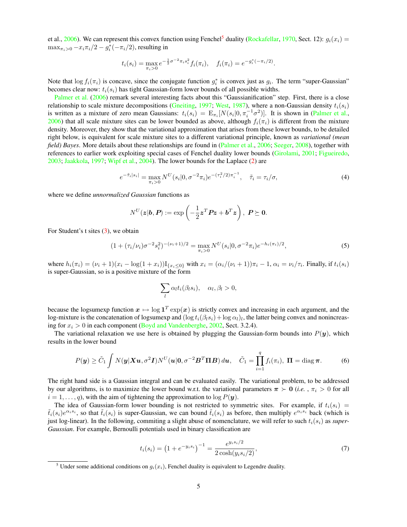[et al.,](#page-27-4) [2006\)](#page-27-4). We can represent this convex function using Fenchel<sup>[5](#page-5-0)</sup> duality [\(Rockafellar,](#page-28-8) [1970,](#page-28-8) Sect. 12):  $g_i(x_i)$  =  $\max_{\pi_i>0} -x_i\pi_i/2-g_i^*(-\pi_i/2)$ , resulting in

$$
t_i(s_i) = \max_{\pi_i > 0} e^{-\frac{1}{2}\sigma^{-2} \pi_i s_i^2} f_i(\pi_i), \quad f_i(\pi_i) = e^{-g_i^*(-\pi_i/2)}.
$$

Note that  $\log f_i(\pi_i)$  is concave, since the conjugate function  $g_i^*$  is convex just as  $g_i$ . The term "super-Gaussian" becomes clear now:  $t_i(s_i)$  has tight Gaussian-form lower bounds of all possible widths.

[Palmer et al.](#page-27-4) [\(2006\)](#page-27-4) remark several interesting facts about this "Gaussianification" step. First, there is a close relationship to scale mixture decompositions [\(Gneiting,](#page-27-6) [1997;](#page-27-6) [West,](#page-28-9) [1987\)](#page-28-9), where a non-Gaussian density  $t_i(s_i)$ is written as a mixture of zero mean Gaussians:  $t_i(s_i) = \mathbb{E}_{\pi_i}[N(s_i|0, \pi_i^{-1}\sigma^2)]$ . It is shown in [\(Palmer et al.,](#page-27-4) [2006\)](#page-27-4) that all scale mixture sites can be lower bounded as above, although  $f_i(\pi_i)$  is different from the mixture density. Moreover, they show that the variational approximation that arises from these lower bounds, to be detailed right below, is equivalent for scale mixture sites to a different variational principle, known as *variational (mean field) Bayes*. More details about these relationships are found in [\(Palmer et al.,](#page-27-4) [2006;](#page-27-4) [Seeger,](#page-28-1) [2008\)](#page-28-1), together with references to earlier work exploiting special cases of Fenchel duality lower bounds [\(Girolami,](#page-27-5) [2001;](#page-27-5) [Figueiredo,](#page-27-7) [2003;](#page-27-7) [Jaakkola,](#page-27-3) [1997;](#page-27-3) [Wipf et al.,](#page-28-10) [2004\)](#page-28-10). The lower bounds for the Laplace [\(2\)](#page-4-4) are

<span id="page-5-2"></span>
$$
e^{-\tilde{\tau}_i|s_i|} = \max_{\pi_i>0} N^U(s_i|0, \sigma^{-2}\pi_i) e^{-(\tau_i^2/2)\pi_i^{-1}}, \quad \tilde{\tau}_i = \tau_i/\sigma,
$$
\n(4)

where we define *unnormalized Gaussian* functions as

$$
N^U({\boldsymbol z}|{\boldsymbol b},{\boldsymbol P}) := \exp\left(-\frac{1}{2}{\boldsymbol z}^T{\boldsymbol P}{\boldsymbol z} + {\boldsymbol b}^T{\boldsymbol z}\right),\ {\boldsymbol P} \succeq {\boldsymbol 0}.
$$

For Student's t sites [\(3\)](#page-4-5), we obtain

<span id="page-5-4"></span>
$$
(1 + (\tau_i/\nu_i)\sigma^{-2} s_i^2)^{-(\nu_i + 1)/2} = \max_{\pi_i > 0} N^U(s_i | 0, \sigma^{-2} \pi_i) e^{-h_i(\pi_i)/2}, \tag{5}
$$

where  $h_i(\pi_i) = (\nu_i + 1)(x_i - \log(1 + x_i))I_{\{x_i \le 0\}}$  with  $x_i = (\alpha_i/(\nu_i + 1))\pi_i - 1$ ,  $\alpha_i = \nu_i/\tau_i$ . Finally, if  $t_i(s_i)$ is super-Gaussian, so is a positive mixture of the form

$$
\sum_{l} \alpha_l t_i(\beta_l s_i), \quad \alpha_l, \beta_l > 0,
$$

because the logsumexp function  $x \mapsto \log 1^T \exp(x)$  is strictly convex and increasing in each argument, and the log-mixture is the concatenation of logsumexp and  $(\log t_i(\beta_l s_i) + \log \alpha_l)_l$ , the latter being convex and nonincreasing for  $x_i > 0$  in each component [\(Boyd and Vandenberghe,](#page-26-0) [2002,](#page-26-0) Sect. 3.2.4).

The variational relaxation we use here is obtained by plugging the Gaussian-form bounds into  $P(y)$ , which results in the lower bound

<span id="page-5-1"></span>
$$
P(\boldsymbol{y}) \geq \tilde{C}_1 \int N(\boldsymbol{y}|\boldsymbol{X}\boldsymbol{u}, \sigma^2\boldsymbol{I}) N^U(\boldsymbol{u}|\boldsymbol{0}, \sigma^{-2}\boldsymbol{B}^T\boldsymbol{\Pi}\boldsymbol{B}) d\boldsymbol{u}, \quad \tilde{C}_1 = \prod_{i=1}^q f_i(\pi_i), \ \boldsymbol{\Pi} = \text{diag}\,\boldsymbol{\pi}.
$$
 (6)

The right hand side is a Gaussian integral and can be evaluated easily. The variational problem, to be addressed by our algorithms, is to maximize the lower bound w.r.t. the variational parameters  $\pi > 0$  (*i.e.*,  $\pi_i > 0$  for all  $i = 1, \ldots, q$ , with the aim of tightening the approximation to  $\log P(\mathbf{y})$ .

The idea of Gaussian-form lower bounding is not restricted to symmetric sites. For example, if  $t_i(s_i)$  =  $\tilde{t}_i(s_i)e^{\alpha_i s_i}$ , so that  $\tilde{t}_i(s_i)$  is super-Gaussian, we can bound  $\tilde{t}_i(s_i)$  as before, then multiply  $e^{\alpha_i s_i}$  back (which is just log-linear). In the following, commiting a slight abuse of nomenclature, we will refer to such  $t_i(s_i)$  as *super*-*Gaussian*. For example, Bernoulli potentials used in binary classification are

<span id="page-5-3"></span>
$$
t_i(s_i) = \left(1 + e^{-y_i s_i}\right)^{-1} = \frac{e^{y_i s_i/2}}{2 \cosh(y_i s_i/2)},\tag{7}
$$

<span id="page-5-0"></span><sup>&</sup>lt;sup>5</sup> Under some additional conditions on  $q_i(x_i)$ , Fenchel duality is equivalent to Legendre duality.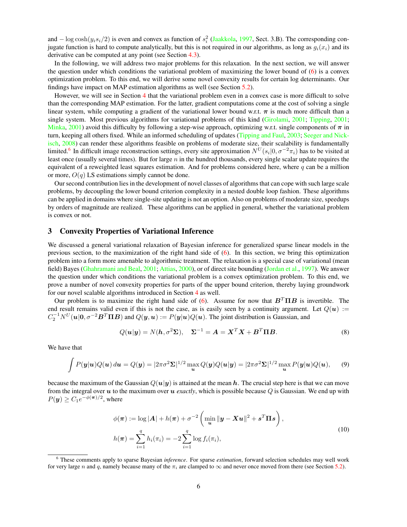and  $-\log \cosh(y_i s_i/2)$  is even and convex as function of  $s_i^2$  [\(Jaakkola,](#page-27-3) [1997,](#page-27-3) Sect. 3.B). The corresponding conjugate function is hard to compute analytically, but this is not required in our algorithms, as long as  $g_i(x_i)$  and its derivative can be computed at any point (see Section [4.3\)](#page-11-0).

In the following, we will address two major problems for this relaxation. In the next section, we will answer the question under which conditions the variational problem of maximizing the lower bound of [\(6\)](#page-5-1) is a convex optimization problem. To this end, we will derive some novel convexity results for certain log determinants. Our findings have impact on MAP estimation algorithms as well (see Section [5.2\)](#page-16-0).

However, we will see in Section [4](#page-9-0) that the variational problem even in a convex case is more difficult to solve than the corresponding MAP estimation. For the latter, gradient computations come at the cost of solving a single linear system, while computing a gradient of the variational lower bound w.r.t.  $\pi$  is much more difficult than a single system. Most previous algorithms for variational problems of this kind [\(Girolami,](#page-27-5) [2001;](#page-27-5) [Tipping,](#page-28-11) [2001;](#page-28-11) [Minka,](#page-27-8) [2001\)](#page-27-8) avoid this difficulty by following a step-wise approach, optimizing w.r.t. single components of  $\pi$  in turn, keeping all others fixed. While an informed scheduling of updates [\(Tipping and Faul,](#page-28-12) [2003;](#page-28-12) [Seeger and Nick](#page-28-3)[isch,](#page-28-3) [2008\)](#page-28-3) can render these algorithms feasible on problems of moderate size, their scalability is fundamentally limited.<sup>[6](#page-6-1)</sup> In difficult image reconstruction settings, every site approximation  $N^U(s_i|0, \sigma^{-2}\pi_i)$  has to be visited at least once (usually several times). But for large  $n$  in the hundred thousands, every single scalar update requires the equivalent of a reweighted least squares estimation. And for problems considered here, where  $q$  can be a million or more,  $O(q)$  LS estimations simply cannot be done.

Our second contribution lies in the development of novel classes of algorithms that can cope with such large scale problems, by decoupling the lower bound criterion complexity in a nested double loop fashion. These algorithms can be applied in domains where single-site updating is not an option. Also on problems of moderate size, speedups by orders of magnitude are realized. These algorithms can be applied in general, whether the variational problem is convex or not.

## <span id="page-6-0"></span>3 Convexity Properties of Variational Inference

We discussed a general variational relaxation of Bayesian inference for generalized sparse linear models in the previous section, to the maximization of the right hand side of [\(6\)](#page-5-1). In this section, we bring this optimization problem into a form more amenable to algorithmic treatment. The relaxation is a special case of variational (mean field) Bayes [\(Ghahramani and Beal,](#page-27-9) [2001;](#page-27-9) [Attias,](#page-26-1) [2000\)](#page-26-1), or of direct site bounding [\(Jordan et al.,](#page-27-10) [1997\)](#page-27-10). We answer the question under which conditions the variational problem is a convex optimization problem. To this end, we prove a number of novel convexity properties for parts of the upper bound criterion, thereby laying groundwork for our novel scalable algorithms introduced in Section [4](#page-9-0) as well.

Our problem is to maximize the right hand side of [\(6\)](#page-5-1). Assume for now that  $B<sup>T</sup> \Pi B$  is invertible. The end result remains valid even if this is not the case, as is easily seen by a continuity argument. Let  $Q(u) :=$  $C_2^{-1}N^U(u|0, \sigma^{-2}B^T\Pi B)$  and  $Q(y, u) := P(y|u)Q(u)$ . The joint distribution is Gaussian, and

<span id="page-6-3"></span>
$$
Q(\mathbf{u}|\mathbf{y}) = N(\mathbf{h}, \sigma^2 \Sigma), \quad \Sigma^{-1} = \mathbf{A} = \mathbf{X}^T \mathbf{X} + \mathbf{B}^T \mathbf{\Pi} \mathbf{B}.
$$
 (8)

We have that

<span id="page-6-4"></span>
$$
\int P(\mathbf{y}|\mathbf{u})Q(\mathbf{u}) d\mathbf{u} = Q(\mathbf{y}) = |2\pi\sigma^2 \Sigma|^{1/2} \max_{\mathbf{u}} Q(\mathbf{y})Q(\mathbf{u}|\mathbf{y}) = |2\pi\sigma^2 \Sigma|^{1/2} \max_{\mathbf{u}} P(\mathbf{y}|\mathbf{u})Q(\mathbf{u}), \quad (9)
$$

because the maximum of the Gaussian  $Q(u|y)$  is attained at the mean h. The crucial step here is that we can move from the integral over  $u$  to the maximum over  $u$  *exactly*, which is possible because  $Q$  is Gaussian. We end up with  $P(y) \ge C_1 e^{-\phi(\boldsymbol{\pi})/2}$ , where

$$
\phi(\pi) := \log |A| + h(\pi) + \sigma^{-2} \left( \min_{\mathbf{u}} \|\mathbf{y} - \mathbf{X}\mathbf{u}\|^2 + \mathbf{s}^T \mathbf{\Pi} \mathbf{s} \right),
$$
  
\n
$$
h(\pi) = \sum_{i=1}^q h_i(\pi_i) = -2 \sum_{i=1}^q \log f_i(\pi_i),
$$
\n(10)

<span id="page-6-2"></span><span id="page-6-1"></span><sup>6</sup> These comments apply to sparse Bayesian *inference*. For sparse *estimation*, forward selection schedules may well work for very large n and q, namely because many of the  $\pi_i$  are clamped to  $\infty$  and never once moved from there (see Section [5.2\)](#page-16-0).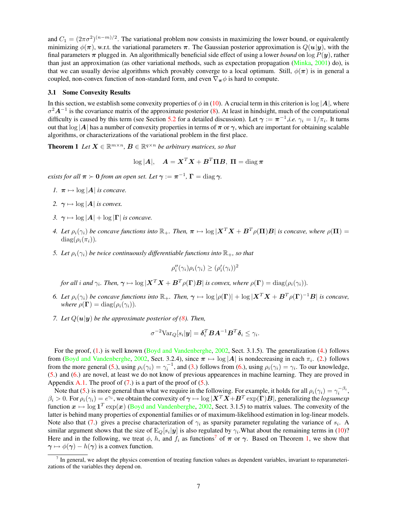and  $C_1 = (2\pi\sigma^2)^{(n-m)/2}$ . The variational problem now consists in maximizing the lower bound, or equivalently minimizing  $\phi(\pi)$ , w.r.t. the variational parameters  $\pi$ . The Gaussian posterior approximation is  $Q(\mathbf{u}|\mathbf{y})$ , with the final parameters  $\pi$  plugged in. An algorithmically beneficial side effect of using a lower *bound* on  $\log P(y)$ , rather than just an approximation (as other variational methods, such as expectation propagation [\(Minka,](#page-27-8) [2001\)](#page-27-8) do), is that we can usually devise algorithms which provably converge to a local optimum. Still,  $\phi(\pi)$  is in general a coupled, non-convex function of non-standard form, and even  $\nabla_{\pi}\phi$  is hard to compute.

#### <span id="page-7-10"></span>3.1 Some Convexity Results

In this section, we establish some convexity properties of  $\phi$  in [\(10\)](#page-6-2). A crucial term in this criterion is  $\log |A|$ , where  $\sigma^2 A^{-1}$  is the covariance matrix of the approximate posterior [\(8\)](#page-6-3). At least in hindsight, much of the computational difficulty is caused by this term (see Section [5.2](#page-16-0) for a detailed discussion). Let  $\gamma := \pi^{-1}$ ,*i.e.*  $\gamma_i = 1/\pi_i$ . It turns out that  $\log |A|$  has a number of convexity properties in terms of  $\pi$  or  $\gamma$ , which are important for obtaining scalable algorithms, or characterizations of the variational problem in the first place.

<span id="page-7-8"></span>**Theorem 1** Let  $X \in \mathbb{R}^{m \times n}$ ,  $B \in \mathbb{R}^{q \times n}$  be arbitrary matrices, so that

$$
\log |\bm{A}|, \quad \bm{A} = \bm{X}^T\bm{X} + \bm{B}^T\bm{\Pi}\bm{B}, \ \bm{\Pi} = \text{diag}\,\bm{\pi}
$$

*exists for all*  $\pi \succ 0$  *from an open set. Let*  $\gamma := \pi^{-1}$ ,  $\Gamma = \text{diag } \gamma$ *.* 

- <span id="page-7-0"></span>*1.*  $\pi \mapsto \log |A|$  *is concave.*
- <span id="page-7-2"></span>2.  $\gamma \mapsto \log |A|$  *is convex.*
- <span id="page-7-4"></span>*3.*  $\gamma \mapsto \log |A| + \log |\Gamma|$  *is concave.*
- <span id="page-7-1"></span>*4. Let*  $\rho_i(\gamma_i)$  *be concave functions into*  $\mathbb{R}_+$ *. Then,*  $\pi \mapsto \log |X^T X + B^T \rho(\Pi)B|$  *is concave, where*  $\rho(\Pi) =$  $diag(\rho_i(\pi_i))$ .
- <span id="page-7-3"></span>*5. Let*  $\rho_i(\gamma_i)$  *be twice continuously differentiable functions into*  $\mathbb{R}_+$ *, so that*

$$
\rho_i''(\gamma_i)\rho_i(\gamma_i) \ge (\rho_i'(\gamma_i))^2
$$

*for all i and*  $\gamma_i$ *. Then,*  $\boldsymbol{\gamma} \mapsto \log |\boldsymbol{X}^T\boldsymbol{X} + \boldsymbol{B}^T \rho(\boldsymbol{\Gamma}) \boldsymbol{B}|$  *is convex, where*  $\rho(\boldsymbol{\Gamma}) = \text{diag}(\rho_i(\gamma_i)).$ 

- <span id="page-7-5"></span>*6. Let*  $\rho_i(\gamma_i)$  *be concave functions into*  $\mathbb{R}_+$ *. Then,*  $\gamma \mapsto \log |\rho(\Gamma)| + \log |X^T X + B^T \rho(\Gamma)^{-1}B|$  *is concave, where*  $\rho(\Gamma) = \text{diag}(\rho_i(\gamma_i)).$
- <span id="page-7-6"></span>*7. Let*  $Q(u|y)$  *be the approximate posterior of [\(8\)](#page-6-3). Then,*

$$
\sigma^{-2} \text{Var}_{Q}[s_i | \boldsymbol{y}] = \boldsymbol{\delta}_i^T \boldsymbol{B} \boldsymbol{A}^{-1} \boldsymbol{B}^T \boldsymbol{\delta}_i \leq \gamma_i.
$$

For the proof, [\(1.](#page-7-0)) is well known [\(Boyd and Vandenberghe,](#page-26-0) [2002,](#page-26-0) Sect. 3.1.5). The generalization [\(4.](#page-7-1)) follows from [\(Boyd and Vandenberghe,](#page-26-0) [2002,](#page-26-0) Sect. 3.2.4), since  $\pi \mapsto \log|A|$  is nondecreasing in each  $\pi_i$ . [\(2.](#page-7-2)) follows from the more general [\(5.](#page-7-3)), using  $\rho_i(\gamma_i) = \gamma_i^{-1}$ , and [\(3.](#page-7-4)) follows from [\(6.](#page-7-5)), using  $\rho_i(\gamma_i) = \gamma_i$ . To our knowledge, [\(5.](#page-7-3)) and [\(6.](#page-7-5)) are novel, at least we do not know of previous appearences in machine learning. They are proved in Appendix [A.1.](#page-22-0) The proof of  $(7)$  is a part of the proof of  $(5)$ .

Note that [\(5.](#page-7-3)) is more general than what we require in the following. For example, it holds for all  $\rho_i(\gamma_i) = \gamma_i^{-\beta_i}$ ,  $\beta_i > 0$ . For  $\rho_i(\gamma_i) = e^{\gamma_i}$ , we obtain the convexity of  $\boldsymbol{\gamma} \mapsto \log |\boldsymbol{X}^T\boldsymbol{X}+\boldsymbol{B}^T\exp(\boldsymbol{\Gamma})\boldsymbol{B}|$ , generalizing the *logsumexp* function  $x \mapsto \log 1^T \exp(x)$  [\(Boyd and Vandenberghe,](#page-26-0) [2002,](#page-26-0) Sect. 3.1.5) to matrix values. The convexity of the latter is behind many properties of exponential families or of maximum-likelihood estimation in log-linear models. Note also that [\(7.](#page-7-6)) gives a precise characterization of  $\gamma_i$  as sparsity parameter regulating the variance of  $s_i$ . A similar argument shows that the size of  $E_Q[s_i|y]$  is also regulated by  $\gamma_i$ . What about the remaining terms in [\(10\)](#page-6-2)? Here and in the following, we treat  $\phi$ , h, and  $f_i$  as functions<sup>[7](#page-7-7)</sup> of  $\pi$  or  $\gamma$ . Based on Theorem [1,](#page-7-8) we show that  $\gamma \mapsto \phi(\gamma) - h(\gamma)$  is a convex function.

<span id="page-7-9"></span><span id="page-7-7"></span><sup>7</sup> In general, we adopt the physics convention of treating function values as dependent variables, invariant to reparameterizations of the variables they depend on.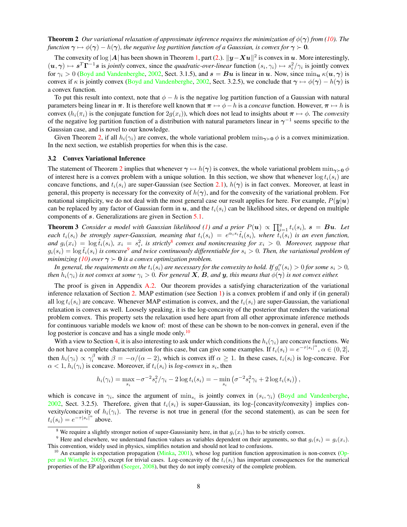**Theorem 2** *Our variational relaxation of approximate inference requires the minimization of*  $\phi(\gamma)$  *from* [\(10\)](#page-6-2)*. The function*  $\gamma \mapsto \phi(\gamma) - h(\gamma)$ *, the negative log partition function of a Gaussian, is convex for*  $\gamma \succ 0$ *.* 

The convexity of log |A| has been shown in Theorem [1,](#page-7-8) part [\(2.](#page-7-2)).  $||y - Xu||^2$  is convex in u. More interestingly,  $(u, \gamma) \mapsto s^T \Gamma^{-1} s$  is *jointly* convex, since the *quadratic-over-linear* function  $(s_i, \gamma_i) \mapsto s_i^2/\gamma_i$  is jointly convex for  $\gamma_i > 0$  [\(Boyd and Vandenberghe,](#page-26-0) [2002,](#page-26-0) Sect. 3.1.5), and  $s = Bu$  is linear in u. Now, since  $\min_{u} \kappa(u, \gamma)$  is convex if  $\kappa$  is jointly convex [\(Boyd and Vandenberghe,](#page-26-0) [2002,](#page-26-0) Sect. 3.2.5), we conclude that  $\gamma \mapsto \phi(\gamma) - h(\gamma)$  is a convex function.

To put this result into context, note that  $\phi - h$  is the negative log partition function of a Gaussian with natural parameters being linear in  $\pi$ . It is therefore well known that  $\pi \mapsto \phi - h$  is a *concave* function. However,  $\pi \mapsto h$  is convex  $(h_i(\pi_i))$  is the conjugate function for  $2g(x_i)$ ), which does not lead to insights about  $\pi \mapsto \phi$ . The *convexity* of the negative log partition function of a distribution with natural parameters linear in  $\gamma^{-1}$  seems specific to the Gaussian case, and is novel to our knowledge.

Given Theorem [2,](#page-7-9) if all  $h_i(\gamma_i)$  are convex, the whole variational problem  $\min_{\gamma>0} \phi$  is a convex minimization. In the next section, we establish properties for when this is the case.

#### 3.2 Convex Variational Inference

The statement of Theorem [2](#page-7-9) implies that whenever  $\gamma \mapsto h(\gamma)$  is convex, the whole variational problem  $\min_{\gamma>0} \phi$ of interest here is a convex problem with a unique solution. In this section, we show that whenever  $\log t_i(s_i)$  are concave functions, and  $t_i(s_i)$  are super-Gaussian (see Section [2.1\)](#page-4-6),  $h(\gamma)$  is in fact convex. Moreover, at least in general, this property is necessary for the convexity of  $h(\gamma)$ , and for the convexity of the variational problem. For notational simplicity, we do not deal with the most general case our result applies for here. For example,  $P(y|u)$ can be replaced by any factor of Gaussian form in  $u$ , and the  $t_i(s_i)$  can be likelihood sites, or depend on multiple components of s. Generalizations are given in Section [5.1.](#page-15-1)

<span id="page-8-3"></span>**Theorem 3** *Consider a model with Gaussian likelihood* [\(1\)](#page-4-0) and a prior  $P(u) \propto \prod_{i=1}^{q} t_i(s_i)$ ,  $s = Bu$ . Let each  $t_i(s_i)$  be strongly super-Gaussian, meaning that  $t_i(s_i) = e^{\alpha_i s_i} \tilde{t}_i(s_i)$ , where  $\tilde{t}_i(s_i)$  is an even function, and  $g_i(x_i) = \log \tilde{t}_i(s_i)$ ,  $x_i = s_i^2$ , is strictly<sup>[8](#page-8-0)</sup> convex and nonincreasing for  $x_i > 0$ . Moreover, suppose that  $g_i(s_i) = \log \tilde{t}_i(s_i)$  is concave<sup>[9](#page-8-1)</sup> and twice continuously differentiable for  $s_i > 0$ . Then, the variational problem of *minimizing [\(10\)](#page-6-2) over*  $\gamma > 0$  *is a convex optimization problem.* 

In general, the requirements on the  $t_i(s_i)$  are necessary for the convexity to hold. If  $g''_i(s_i) > 0$  for some  $s_i > 0$ , *then*  $h_i(\gamma_i)$  *is not convex at some*  $\gamma_i > 0$ *. For general* X*,* B*, and* y, this means that  $\phi(\gamma)$  *is not convex either.* 

The proof is given in Appendix [A.2.](#page-23-0) Our theorem provides a satisfying characterization of the variational inference relaxation of Section [2.](#page-3-0) MAP estimation (see Section [1\)](#page-1-0) is a convex problem if and only if (in general) all  $\log t_i(s_i)$  are concave. Whenever MAP estimation is convex, and the  $t_i(s_i)$  are super-Gaussian, the variational relaxation is convex as well. Loosely speaking, it is the log-concavity of the posterior that renders the variational problem convex. This property sets the relaxation used here apart from all other approximate inference methods for continuous variable models we know of: most of these can be shown to be non-convex in general, even if the log posterior is concave and has a single mode only.<sup>[10](#page-8-2)</sup>

With a view to Section [4,](#page-9-0) it is also interesting to ask under which conditions the  $h_i(\gamma_i)$  are concave functions. We do not have a complete characterization for this case, but can give some examples. If  $t_i(s_i) = e^{-\tau |s_i|^{\alpha}}$ ,  $\alpha \in (0,2]$ , then  $h_i(\gamma_i) \propto \gamma_i^{\beta}$  with  $\beta = -\alpha/(\alpha - 2)$ , which is convex iff  $\alpha \ge 1$ . In these cases,  $t_i(s_i)$  is log-concave. For  $\alpha < 1$ ,  $h_i(\gamma_i)$  is concave. Moreover, if  $t_i(s_i)$  is *log-convex* in  $s_i$ , then

$$
h_i(\gamma_i) = \max_{s_i} -\sigma^{-2} s_i^2 / \gamma_i - 2 \log t_i(s_i) = - \min_{s_i} (\sigma^{-2} s_i^2 \gamma_i + 2 \log t_i(s_i)),
$$

which is concave in  $\gamma_i$ , since the argument of  $\min_{s_i}$  is jointly convex in  $(s_i, \gamma_i)$  [\(Boyd and Vandenberghe,](#page-26-0) [2002,](#page-26-0) Sect. 3.2.5). Therefore, given that  $t_i(s_i)$  is super-Gaussian, its log-{concavity/convexity} implies convexity/concavity of  $h_i(\gamma_i)$ . The reverse is not true in general (for the second statement), as can be seen for  $t_i(s_i) = e^{-\tau |s_i|^{\alpha}}$  above.

<span id="page-8-1"></span><span id="page-8-0"></span><sup>&</sup>lt;sup>8</sup> We require a slightly stronger notion of super-Gaussianity here, in that  $g_i(x_i)$  has to be strictly convex.

<sup>&</sup>lt;sup>9</sup> Here and elsewhere, we understand function values as variables dependent on their arguments, so that  $g_i(s_i) = g_i(x_i)$ . This convention, widely used in physics, simplifies notation and should not lead to confusions.

<span id="page-8-2"></span><sup>&</sup>lt;sup>10</sup> An example is expectation propagation [\(Minka,](#page-27-8) [2001\)](#page-27-8), whose log partition function approximation is non-convex [\(Op](#page-27-11)[per and Winther,](#page-27-11) [2005\)](#page-27-11), except for trivial cases. Log-concavity of the  $t_i(s_i)$  has important consequences for the numerical properties of the EP algorithm [\(Seeger,](#page-28-1) [2008\)](#page-28-1), but they do not imply convexity of the complete problem.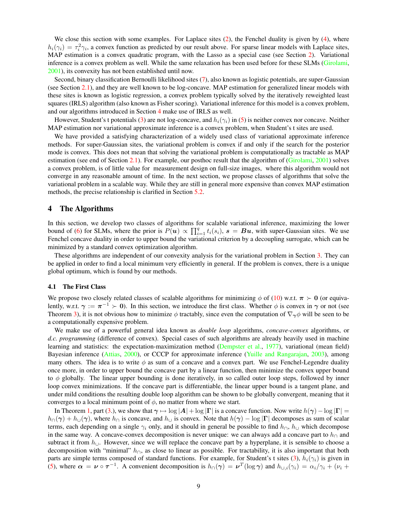We close this section with some examples. For Laplace sites  $(2)$ , the Fenchel duality is given by  $(4)$ , where  $h_i(\gamma_i) = \tau_i^2 \gamma_i$ , a convex function as predicted by our result above. For sparse linear models with Laplace sites, MAP estimation is a convex quadratic program, with the Lasso as a special case (see Section [2\)](#page-3-0). Variational inference is a convex problem as well. While the same relaxation has been used before for these SLMs [\(Girolami,](#page-27-5) [2001\)](#page-27-5), its convexity has not been established until now.

Second, binary classification Bernoulli likelihood sites [\(7\)](#page-5-3), also known as logistic potentials, are super-Gaussian (see Section [2.1\)](#page-4-6), and they are well known to be log-concave. MAP estimation for generalized linear models with these sites is known as logistic regression, a convex problem typically solved by the iteratively reweighted least squares (IRLS) algorithm (also known as Fisher scoring). Variational inference for this model is a convex problem, and our algorithms introduced in Section [4](#page-9-0) make use of IRLS as well.

However, Student's t potentials [\(3\)](#page-4-5) are not log-concave, and  $h_i(\gamma_i)$  in [\(5\)](#page-5-4) is neither convex nor concave. Neither MAP estimation nor variational approximate inference is a convex problem, when Student's t sites are used.

We have provided a satisfying characterization of a widely used class of variational approximate inference methods. For super-Gaussian sites, the variational problem is convex if and only if the search for the posterior mode is convex. This does not mean that solving the variational problem is computationally as tractable as MAP estimation (see end of Section [2.1\)](#page-4-6). For example, our posthoc result that the algorithm of [\(Girolami,](#page-27-5) [2001\)](#page-27-5) solves a convex problem, is of little value for measurement design on full-size images, where this algorithm would not converge in any reasonable amount of time. In the next section, we propose classes of algorithms that solve the variational problem in a scalable way. While they are still in general more expensive than convex MAP estimation methods, the precise relationship is clarified in Section [5.2.](#page-16-0)

## <span id="page-9-0"></span>4 The Algorithms

In this section, we develop two classes of algorithms for scalable variational inference, maximizing the lower bound of [\(6\)](#page-5-1) for SLMs, where the prior is  $P(u) \propto \prod_{i=1}^{q} t_i(s_i)$ ,  $s = Bu$ , with super-Gaussian sites. We use Fenchel concave duality in order to upper bound the variational criterion by a decoupling surrogate, which can be minimized by a standard convex optimization algorithm.

These algorithms are independent of our convexity analysis for the variational problem in Section [3.](#page-6-0) They can be applied in order to find a local minimum very efficiently in general. If the problem is convex, there is a unique global optimum, which is found by our methods.

#### <span id="page-9-1"></span>4.1 The First Class

We propose two closely related classes of scalable algorithms for minimizing  $\phi$  of [\(10\)](#page-6-2) w.r.t.  $\pi > 0$  (or equivalently, w.r.t.  $\gamma := \pi^{-1} \succ 0$ ). In this section, we introduce the first class. Whether  $\phi$  is convex in  $\gamma$  or not (see Theorem [3\)](#page-8-3), it is not obvious how to minimize  $\phi$  tractably, since even the computation of  $\nabla_{\gamma}\phi$  will be seen to be a computationally expensive problem.

We make use of a powerful general idea known as *double loop* algorithms, *concave-convex* algorithms, or *d.c. programming* (difference of convex). Special cases of such algorithms are already heavily used in machine learning and statistics: the expectation-maximization method [\(Dempster et al.,](#page-27-12) [1977\)](#page-27-12), variational (mean field) Bayesian inference [\(Attias,](#page-26-1) [2000\)](#page-26-1), or CCCP for approximate inference [\(Yuille and Rangarajan,](#page-28-13) [2003\)](#page-28-13), among many others. The idea is to write  $\phi$  as sum of a concave and a convex part. We use Fenchel-Legendre duality once more, in order to upper bound the concave part by a linear function, then minimize the convex upper bound to  $\phi$  globally. The linear upper bounding is done iteratively, in so called outer loop steps, followed by inner loop convex minimizations. If the concave part is differentiable, the linear upper bound is a tangent plane, and under mild conditions the resulting double loop algorithm can be shown to be globally convergent, meaning that it converges to a local minimum point of  $\phi$ , no matter from where we start.

In Theorem [1,](#page-7-8) part [\(3.](#page-7-4)), we show that  $\gamma \mapsto \log |A| + \log |\Gamma|$  is a concave function. Now write  $h(\gamma) - \log |\Gamma| =$  $h_{\cap}(\gamma) + h_{\cup}(\gamma)$ , where  $h_{\cap}$  is concave, and  $h_{\cup}$  is convex. Note that  $h(\gamma) - \log |\Gamma|$  decomposes as sum of scalar terms, each depending on a single  $\gamma_i$  only, and it should in general be possible to find  $h_{\Omega}$ ,  $h_{\cup}$  which decompose in the same way. A concave-convex decomposition is never unique: we can always add a concave part to  $h_{\cap}$  and subtract it from  $h_{\cup}$ . However, since we will replace the concave part by a hyperplane, it is sensible to choose a decomposition with "minimal"  $h_{\Omega}$ , as close to linear as possible. For tractability, it is also important that both parts are simple terms composed of standard functions. For example, for Student's t sites [\(3\)](#page-4-5),  $h_i(\gamma_i)$  is given in [\(5\)](#page-5-4), where  $\alpha = \nu \circ \tau^{-1}$ . A convenient decomposition is  $h_{\Omega}(\gamma) = \nu^{T}(\log \gamma)$  and  $h_{\cup,i}(\gamma_i) = \alpha_i/\gamma_i + (\nu_i + \gamma_i)/\gamma_i$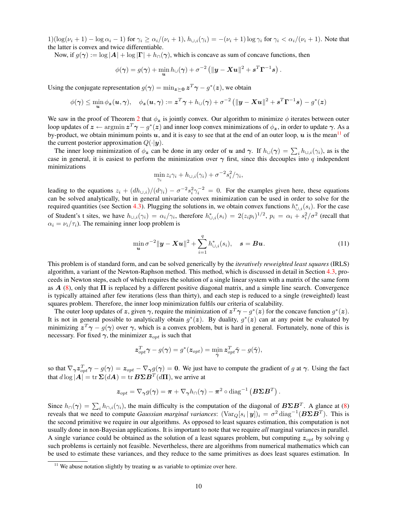$1)(\log(\nu_i+1)-\log\alpha_i-1)$  for  $\gamma_i \geq \alpha_i/(\nu_i+1)$ ,  $h_{\cup,i}(\gamma_i) = -(\nu_i+1)\log\gamma_i$  for  $\gamma_i < \alpha_i/(\nu_i+1)$ . Note that the latter is convex and twice differentiable.

Now, if  $g(\gamma) := \log |A| + \log |\Gamma| + h_0(\gamma)$ , which is concave as sum of concave functions, then

$$
\phi(\boldsymbol{\gamma}) = g(\boldsymbol{\gamma}) + \min_{\boldsymbol{u}} h_{\cup}(\boldsymbol{\gamma}) + \sigma^{-2} \left( \|\boldsymbol{y} - \boldsymbol{X} \boldsymbol{u}\|^2 + \boldsymbol{s}^T \boldsymbol{\Gamma}^{-1} \boldsymbol{s} \right).
$$

Using the conjugate representation  $g(\gamma) = \min_{z \succeq 0} z^T \gamma - g^*(z)$ , we obtain

$$
\phi(\boldsymbol{\gamma}) \leq \min_{\boldsymbol{u}} \phi_{\boldsymbol{z}}(\boldsymbol{u},\boldsymbol{\gamma}), \quad \phi_{\boldsymbol{z}}(\boldsymbol{u},\boldsymbol{\gamma}) := \boldsymbol{z}^T\boldsymbol{\gamma} + h_{\cup}(\boldsymbol{\gamma}) + \sigma^{-2} \left( \|\boldsymbol{y} - \boldsymbol{X}\boldsymbol{u}\|^2 + \boldsymbol{s}^T\boldsymbol{\Gamma}^{-1}\boldsymbol{s} \right) - g^*(\boldsymbol{z})
$$

We saw in the proof of Theorem [2](#page-7-9) that  $\phi_z$  is jointly convex. Our algorithm to minimize  $\phi$  iterates between outer loop updates of  $z \leftarrow \text{argmin} z^T \gamma - y^*(z)$  and inner loop convex minimizations of  $\phi_z$ , in order to update  $\gamma$ . As a by-product, we obtain minimum points u, and it is easy to see that at the end of an outer loop, u is the mean<sup>[11](#page-10-0)</sup> of the current posterior approximation  $Q(\cdot|\mathbf{y})$ .

The inner loop minimization of  $\phi_z$  can be done in any order of u and  $\gamma$ . If  $h_{\cup}(\gamma) = \sum_i h_{\cup,i}(\gamma_i)$ , as is the case in general, it is easiest to perform the minimization over  $\gamma$  first, since this decouples into q independent minimizations

$$
\min_{\gamma_i} z_i \gamma_i + h_{\cup,i}(\gamma_i) + \sigma^{-2} s_i^2 / \gamma_i,
$$

leading to the equations  $z_i + (dh_{\cup,i})/(d\gamma_i) - \sigma^{-2} s_i^2 \gamma_i^{-2} = 0$ . For the examples given here, these equations can be solved analytically, but in general univariate convex minimization can be used in order to solve for the required quantities (see Section [4.3\)](#page-11-0). Plugging the solutions in, we obtain convex functions  $h_{\cup,i}^*(s_i)$ . For the case of Student's t sites, we have  $h_{\cup,i}(\gamma_i) = \alpha_i/\gamma_i$ , therefore  $h_{\cup,i}^*(s_i) = 2(z_i p_i)^{1/2}$ ,  $p_i = \alpha_i + s_i^2/\sigma^2$  (recall that  $\alpha_i = \nu_i/\tau_i$ ). The remaining inner loop problem is

<span id="page-10-1"></span>
$$
\min_{\mathbf{u}} \sigma^{-2} \|\mathbf{y} - \mathbf{X}\mathbf{u}\|^2 + \sum_{i=1}^{q} h_{\cup,i}^*(s_i), \quad \mathbf{s} = \mathbf{B}\mathbf{u}.\tag{11}
$$

This problem is of standard form, and can be solved generically by the *iteratively reweighted least squares* (IRLS) algorithm, a variant of the Newton-Raphson method. This method, which is discussed in detail in Section [4.3,](#page-11-0) proceeds in Newton steps, each of which requires the solution of a single linear system with a matrix of the same form as  $A(8)$  $A(8)$ , only that  $\Pi$  is replaced by a different positive diagonal matrix, and a simple line search. Convergence is typically attained after few iterations (less than thirty), and each step is reduced to a single (reweighted) least squares problem. Therefore, the inner loop minimization fulfils our criteria of scalability.

The outer loop updates of z, given  $\gamma$ , require the minimization of  $z^T \gamma - g^*(z)$  for the concave function  $g^*(z)$ . It is not in general possible to analytically obtain  $g^*(z)$ . By duality,  $g^*(z)$  can at any point be evaluated by minimizing  $z^T \gamma - g(\gamma)$  over  $\gamma$ , which is a convex problem, but is hard in general. Fortunately, none of this is necessary. For fixed  $\gamma$ , the minimizer  $z_{opt}$  is such that

$$
\boldsymbol{z}_{opt}^T\boldsymbol{\gamma} - g(\boldsymbol{\gamma}) = g^*(\boldsymbol{z}_{opt}) = \min_{\tilde{\boldsymbol{\gamma}}} \boldsymbol{z}_{opt}^T\tilde{\boldsymbol{\gamma}} - g(\tilde{\boldsymbol{\gamma}}),
$$

so that  $\nabla_{\gamma} z_{opt}^T \gamma - g(\gamma) = z_{opt} - \nabla_{\gamma} g(\gamma) = 0$ . We just have to compute the gradient of g at  $\gamma$ . Using the fact that  $d \log |\mathbf{A}| = \text{tr} \, \mathbf{\Sigma}(d\mathbf{A}) = \text{tr} \, \mathbf{B} \mathbf{\Sigma} \mathbf{B}^T(d\mathbf{\Pi})$ , we arrive at

$$
\boldsymbol{z}_{opt} = \nabla_{\boldsymbol{\gamma}} g(\boldsymbol{\gamma}) = \boldsymbol{\pi} + \nabla_{\boldsymbol{\gamma}} h_{\cap}(\boldsymbol{\gamma}) - \boldsymbol{\pi}^2 \circ \text{diag}^{-1}\left(\boldsymbol{B} \boldsymbol{\Sigma} \boldsymbol{B}^T\right).
$$

Since  $h_{\cap}(\gamma) = \sum_i h_{\cap,i}(\gamma_i)$ , the main difficulty is the computation of the diagonal of  $B\Sigma B^T$ . A glance at [\(8\)](#page-6-3) reveals that we need to compute *Gaussian marginal variances*:  $(\text{Var}_{Q}[s_i | y])_i = \sigma^2 \text{diag}^{-1}(B \Sigma B^T)$ . This is the second primitive we require in our algorithms. As opposed to least squares estimation, this computation is not usually done in non-Bayesian applications. It is important to note that we require *all* marginal variances in parallel. A single variance could be obtained as the solution of a least squares problem, but computing  $z_{opt}$  by solving q such problems is certainly not feasible. Nevertheless, there are algorithms from numerical mathematics which can be used to estimate these variances, and they reduce to the same primitives as does least squares estimation. In

<span id="page-10-0"></span><sup>&</sup>lt;sup>11</sup> We abuse notation slightly by treating u as variable to optimize over here.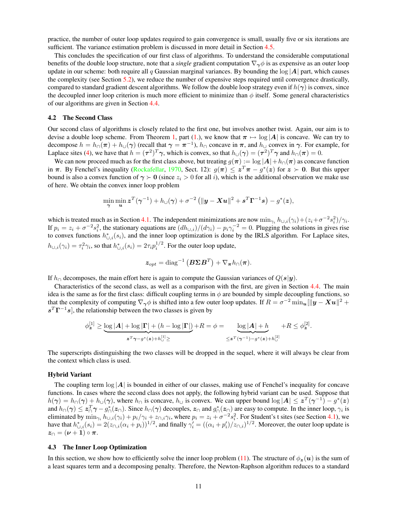practice, the number of outer loop updates required to gain convergence is small, usually five or six iterations are sufficient. The variance estimation problem is discussed in more detail in Section [4.5.](#page-13-0)

This concludes the specification of our first class of algorithms. To understand the considerable computational benefits of the double loop structure, note that a *single* gradient computation  $\nabla_{\gamma}\phi$  is as expensive as an outer loop update in our scheme: both require all q Gaussian marginal variances. By bounding the  $log|A|$  part, which causes the complexity (see Section [5.2\)](#page-16-0), we reduce the number of expensive steps required until convergence drastically, compared to standard gradient descent algorithms. We follow the double loop strategy even if  $h(\gamma)$  is convex, since the decoupled inner loop criterion is much more efficient to minimize than  $\phi$  itself. Some general characteristics of our algorithms are given in Section [4.4.](#page-12-0)

#### <span id="page-11-1"></span>4.2 The Second Class

Our second class of algorithms is closely related to the first one, but involves another twist. Again, our aim is to devise a double loop scheme. From Theorem [1,](#page-7-8) part [\(1.](#page-7-0)), we know that  $\pi \mapsto \log |A|$  is concave. We can try to decompose  $h = h_{\cap}(\pi) + h_{\cup}(\gamma)$  (recall that  $\gamma = \pi^{-1}$ ),  $h_{\cap}$  concave in  $\pi$ , and  $h_{\cup}$  convex in  $\gamma$ . For example, for Laplace sites [\(4\)](#page-5-2), we have that  $h = (\tau^2)^T \gamma$ , which is convex, so that  $h_\cup(\gamma) = (\tau^2)^T \gamma$  and  $h_\cap(\pi) = 0$ .

We can now proceed much as for the first class above, but treating  $g(\pi) := \log |A| + h_0(\pi)$  as concave function in  $\pi$ . By Fenchel's inequality [\(Rockafellar,](#page-28-8) [1970,](#page-28-8) Sect. 12):  $g(\pi) \leq z^T \pi - g^*(z)$  for  $z \succ 0$ . But this upper bound is also a convex function of  $\gamma > 0$  (since  $z_i > 0$  for all i), which is the additional observation we make use of here. We obtain the convex inner loop problem

$$
\min_{\boldsymbol{\gamma}} \min_{\boldsymbol{u}} \boldsymbol{z}^T(\boldsymbol{\gamma}^{-1}) + h_{\cup}(\boldsymbol{\gamma}) + \sigma^{-2} \left( \| \boldsymbol{y} - \boldsymbol{X} \boldsymbol{u} \|^2 + \boldsymbol{s}^T \boldsymbol{\Gamma}^{-1} \boldsymbol{s} \right) - g^*(\boldsymbol{z}),
$$

which is treated much as in Section [4.1.](#page-9-1) The independent minimizations are now  $\min_{\gamma_i} h_{\cup,i}(\gamma_i) + (z_i + \sigma^{-2} s_i^2)/\gamma_i$ . If  $p_i = z_i + \sigma^{-2} s_i^2$ , the stationary equations are  $(dh_{\cup,i})/(d\gamma_i) - p_i \gamma_i^{-2} = 0$ . Plugging the solutions in gives rise to convex functions  $h_{\cup,i}^*(s_i)$ , and the inner loop optimization is done by the IRLS algorithm. For Laplace sites,  $h_{\cup,i}(\gamma_i) = \tau_i^2 \gamma_i$ , so that  $h_{\cup,i}^*(s_i) = 2\tau_i p_i^{1/2}$ . For the outer loop update,

$$
\boldsymbol{z}_{opt} = \text{diag}^{-1} \left( \boldsymbol{B} \boldsymbol{\Sigma} \boldsymbol{B}^T \right) + \nabla_{\boldsymbol{\pi}} h_{\cap}(\boldsymbol{\pi}).
$$

If  $h_{\Omega}$  decomposes, the main effort here is again to compute the Gaussian variances of  $Q(s|y)$ .

Characteristics of the second class, as well as a comparison with the first, are given in Section [4.4.](#page-12-0) The main idea is the same as for the first class: difficult coupling terms in  $\phi$  are bounded by simple decoupling functions, so that the complexity of computing  $\nabla_{\bm{\gamma}}\phi$  is shifted into a few outer loop updates. If  $R = \sigma^{-2}\min_{\bm{u}}[||\bm{y} - \bm{X}\bm{u}||^2 +$  $s<sup>T</sup> \Gamma<sup>-1</sup> s$ , the relationship between the two classes is given by

$$
\phi_{\boldsymbol{z}}^{[1]}\geq \underbrace{\log |\boldsymbol{A}|+\log |\boldsymbol{\Gamma}|+(h-\log |\boldsymbol{\Gamma}|)}_{\boldsymbol{z}^T\boldsymbol{\gamma}-g^*(\boldsymbol{z})+h_{\omega}^{[1]}\geq}+R=\phi=\underbrace{\log |\boldsymbol{A}|+h}_{\leq \boldsymbol{z}^T(\boldsymbol{\gamma}^{-1})-g^*(\boldsymbol{z})+h_{\omega}^{[2]}}+R\leq \phi_{\boldsymbol{z}}^{[2]}.
$$

The superscripts distinguishing the two classes will be dropped in the sequel, where it will always be clear from the context which class is used.

#### Hybrid Variant

The coupling term  $\log |A|$  is bounded in either of our classes, making use of Fenchel's inequality for concave functions. In cases where the second class does not apply, the following hybrid variant can be used. Suppose that  $h(\gamma) = h_{\cap}(\gamma) + h_{\cup}(\gamma)$ , where  $h_{\cap}$  is concave,  $h_{\cup}$  is convex. We can upper bound  $\log |A| \leq z^{T}(\gamma^{-1}) - g^{*}(z)$ and  $h_\cap(\gamma) \leq z_\cap^T \gamma - g_\cap^*(z_\cap)$ . Since  $h_\cap(\gamma)$  decouples,  $z_\cap$  and  $g_\cap^*(z_\cap)$  are easy to compute. In the inner loop,  $\gamma_i$  is eliminated by  $\min_{\gamma_i} h_{\cup,i}(\gamma_i) + p_i/\gamma_i + z_{\cap,i}\gamma_i$ , where  $p_i = z_i + \sigma^{-2}s_i^2$ . For Student's t sites (see Section [4.1\)](#page-9-1), we have that  $h_{\cup,i}^*(s_i) = 2(z_{\cap,i}(\alpha_i + p_i))^{1/2}$ , and finally  $\gamma_i' = ((\alpha_i + p_i')/z_{\cap,i})^{1/2}$ . Moreover, the outer loop update is  $z_{\cap} = (\nu + 1) \circ \pi.$ 

#### <span id="page-11-0"></span>4.3 The Inner Loop Optimization

In this section, we show how to efficiently solve the inner loop problem [\(11\)](#page-10-1). The structure of  $\phi_{\mathbf{z}}(u)$  is the sum of a least squares term and a decomposing penalty. Therefore, the Newton-Raphson algorithm reduces to a standard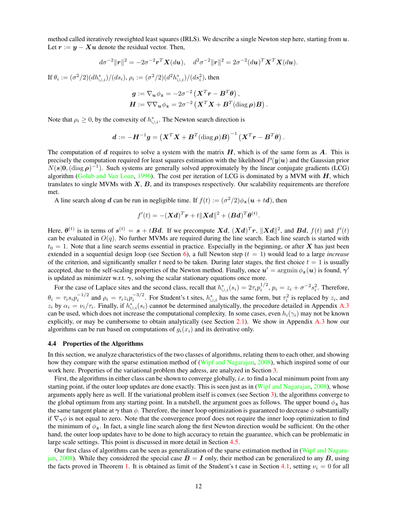method called iteratively reweighted least squares (IRLS). We describe a single Newton step here, starting from  $u$ . Let  $r := y - Xu$  denote the residual vector. Then,

$$
d\sigma^{-2}||\mathbf{r}||^2 = -2\sigma^{-2}\mathbf{r}^T\mathbf{X}(d\mathbf{u}), \quad d^2\sigma^{-2}||\mathbf{r}||^2 = 2\sigma^{-2}(d\mathbf{u})^T\mathbf{X}^T\mathbf{X}(d\mathbf{u}).
$$

If  $\theta_i := (\sigma^2/2) (dh_{\cup,i}^*) / (ds_i),$   $\rho_i := (\sigma^2/2) (d^2 h_{\cup,i}^*) / (ds_i^2),$  then

$$
g := \nabla_{\mathbf{u}} \phi_{\mathbf{z}} = -2\sigma^{-2} \left( \mathbf{X}^T \mathbf{r} - \mathbf{B}^T \boldsymbol{\theta} \right),
$$
  

$$
\mathbf{H} := \nabla \nabla_{\mathbf{u}} \phi_{\mathbf{z}} = 2\sigma^{-2} \left( \mathbf{X}^T \mathbf{X} + \mathbf{B}^T (\text{diag} \, \boldsymbol{\rho}) \mathbf{B} \right).
$$

Note that  $\rho_i \geq 0$ , by the convexity of  $h_{\cup,i}^*$ . The Newton search direction is

$$
\boldsymbol{d}:=-\boldsymbol{H}^{-1}\boldsymbol{g}=\left(\boldsymbol{X}^T\boldsymbol{X}+\boldsymbol{B}^T(\text{diag}\,\boldsymbol{\rho})\boldsymbol{B}\right)^{-1}\left(\boldsymbol{X}^T\boldsymbol{r}-\boldsymbol{B}^T\boldsymbol{\theta}\right).
$$

The computation of d requires to solve a system with the matrix  $H$ , which is of the same form as  $A$ . This is precisely the computation required for least squares estimation with the likelihood  $P(y|u)$  and the Gaussian prior  $N(s|0,(\text{diag }\rho)^{-1})$ . Such systems are generally solved approximately by the linear conjugate gradients (LCG) algorithm [\(Golub and Van Loan,](#page-27-13) [1996\)](#page-27-13). The cost per iteration of LCG is dominated by a MVM with  $H$ , which translates to single MVMs with  $X, B$ , and its transposes respectively. Our scalability requirements are therefore met.

A line search along d can be run in negligible time. If  $f(t) := (\sigma^2/2)\phi_z(\mathbf{u} + t\mathbf{d})$ , then

$$
f'(t) = -(\mathbf{X}d)^T\mathbf{r} + t\|\mathbf{X}d\|^2 + (\mathbf{B}d)^T\boldsymbol{\theta}^{(t)}.
$$

Here,  $\theta^{(t)}$  is in terms of  $s^{(t)} = s + tBd$ . If we precompute  $Xd$ ,  $(Xd)^{T}r$ ,  $||Xd||^{2}$ , and  $Bd$ ,  $f(t)$  and  $f'(t)$ can be evaluated in  $O(q)$ . No further MVMs are required during the line search. Each line search is started with  $t_0 = 1$ . Note that a line search seems essential in practice. Especially in the beginning, or after X has just been extended in a sequential design loop (see Section [6\)](#page-18-0), a full Newton step  $(t = 1)$  would lead to a large *increase* of the criterion, and significantly smaller t need to be taken. During later stages, the first choice  $t = 1$  is usually accepted, due to the self-scaling properties of the Newton method. Finally, once  $u' = \argmin \phi_{\bm{z}}(\bm{u})$  is found,  $\bm{\gamma}'$ is updated as minimizer w.r.t.  $\gamma$ , solving the scalar stationary equations once more.

For the case of Laplace sites and the second class, recall that  $h_{\cup,i}^*(s_i) = 2\tau_i p_i^{1/2}, p_i = z_i + \sigma^{-2} s_i^2$ . Therefore,  $\theta_i = \tau_i s_i p_i^{-1/2}$  and  $\rho_i = \tau_i z_i p_i^{-3/2}$ . For Student's t sites,  $h_{\cup,i}^*$  has the same form, but  $\tau_i^2$  is replaced by  $z_i$ , and  $z_i$  by  $\alpha_i = \nu_i/\tau_i$ . Finally, if  $h_{\cup,i}^*(s_i)$  cannot be determined analytically, the procedure detailed in Appendix [A.3](#page-23-1) can be used, which does not increase the computational complexity. In some cases, even  $h_i(\gamma_i)$  may not be known explicitly, or may be cumbersome to obtain analytically (see Section [2.1\)](#page-4-6). We show in Appendix [A.3](#page-23-1) how our algorithms can be run based on computations of  $g_i(x_i)$  and its derivative only.

#### <span id="page-12-0"></span>4.4 Properties of the Algorithms

In this section, we analyze characteristics of the two classes of algorithms, relating them to each other, and showing how they compare with the sparse estimation method of [\(Wipf and Nagarajan,](#page-28-5) [2008\)](#page-28-5), which inspired some of our work here. Properties of the variational problem they adress, are analyzed in Section [3.](#page-6-0)

First, the algorithms in either class can be shown to converge globally, *i.e.* to find a local minimum point from any starting point, if the outer loop updates are done exactly. This is seen just as in [\(Wipf and Nagarajan,](#page-28-5) [2008\)](#page-28-5), whose arguments apply here as well. If the variational problem itself is convex (see Section [3\)](#page-6-0), the algorithms converge to the global optimum from any starting point. In a nutshell, the argument goes as follows. The upper bound  $\phi_z$  has the same tangent plane at  $\gamma$  than  $\phi$ . Therefore, the inner loop optimization is guaranteed to decrease  $\phi$  substantially if  $\nabla_{\gamma}\phi$  is not equal to zero. Note that the convergence proof does not require the inner loop optimization to find the minimum of  $\phi_z$ . In fact, a single line search along the first Newton direction would be sufficient. On the other hand, the outer loop updates have to be done to high accuracy to retain the guarantee, which can be problematic in large scale settings. This point is discussed in more detail in Section [4.5.](#page-13-0)

Our first class of algorithms can be seen as generalization of the sparse estimation method in [\(Wipf and Nagara](#page-28-5)[jan,](#page-28-5) [2008\)](#page-28-5). While they considered the special case  $B = I$  only, their method can be generalized to any B, using the facts proved in Theorem [1.](#page-7-8) It is obtained as limit of the Student's t case in Section [4.1,](#page-9-1) setting  $\nu_i = 0$  for all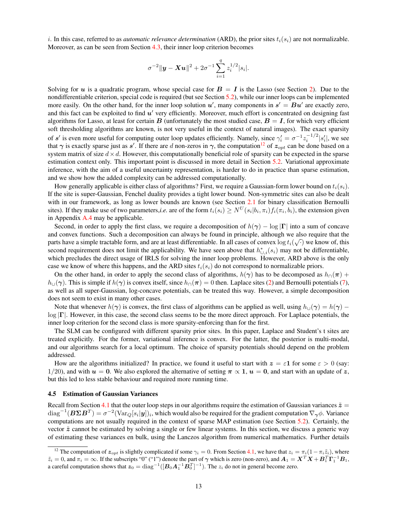i. In this case, referred to as *automatic relevance determination* (ARD), the prior sites  $t_i(s_i)$  are not normalizable. Moreover, as can be seen from Section [4.3,](#page-11-0) their inner loop criterion becomes

$$
\sigma^{-2} \|\mathbf{y} - \mathbf{Xu}\|^2 + 2\sigma^{-1} \sum_{i=1}^q z_i^{1/2} |s_i|.
$$

Solving for u is a quadratic program, whose special case for  $B = I$  is the Lasso (see Section [2\)](#page-3-0). Due to the nondifferentiable criterion, special code is required (but see Section [5.2\)](#page-16-0), while our inner loops can be implemented more easily. On the other hand, for the inner loop solution  $u'$ , many components in  $s' = Bu'$  are exactly zero, and this fact can be exploited to find  $u'$  very efficiently. Moreover, much effort is concentrated on designing fast algorithms for Lasso, at least for certain B (unfortunately the most studied case,  $B = I$ , for which very efficient soft thresholding algorithms are known, is not very useful in the context of natural images). The exact sparsity of s' is even more useful for computing outer loop updates efficiently. Namely, since  $\gamma'_i = \sigma^{-1} z_i^{-1/2} |s'_i|$ , we see that  $\gamma$  is exactly sparse just as s'. If there are d non-zeros in  $\gamma$ , the computation<sup>[12](#page-13-1)</sup> of  $z_{opt}$  can be done based on a system matrix of size  $d \times d$ . However, this computationally beneficial role of sparsity can be expected in the sparse estimation context only. This important point is discussed in more detail in Section [5.2.](#page-16-0) Variational approximate inference, with the aim of a useful uncertainty representation, is harder to do in practice than sparse estimation, and we show how the added complexity can be addressed computationally.

How generally applicable is either class of algorithms? First, we require a Gaussian-form lower bound on  $t_i(s_i)$ . If the site is super-Gaussian, Fenchel duality provides a tight lower bound. Non-symmetric sites can also be dealt with in our framework, as long as lower bounds are known (see Section [2.1](#page-4-6) for binary classification Bernoulli sites). If they make use of two parameters,*i.e.* are of the form  $t_i(s_i) \ge N^U(s_i|b_i, \pi_i) f_i(\pi_i, b_i)$ , the extension given in Appendix [A.4](#page-24-0) may be applicable.

Second, in order to apply the first class, we require a decomposition of  $h(\gamma) - \log |\Gamma|$  into a sum of concave and convex functions. Such a decomposition can always be found in principle, although we also require that the parts have a simple tractable form, and are at least differentiable. In all cases of convex  $\log t_i(\sqrt{\cdot})$  we know of, this second requirement does not limit the applicability. We have seen above that  $h_{\cup,i}^*(s_i)$  may not be differentiable, which precludes the direct usage of IRLS for solving the inner loop problems. However, ARD above is the only case we know of where this happens, and the ARD sites  $t_i(s_i)$  do not correspond to normalizable priors.

On the other hand, in order to apply the second class of algorithms,  $h(\gamma)$  has to be decomposed as  $h_{\cap}(\pi)$  +  $h_{\text{U}}(\gamma)$ . This is simple if  $h(\gamma)$  is convex itself, since  $h_{\text{O}}(\pi) = 0$  then. Laplace sites [\(2\)](#page-4-4) and Bernoulli potentials [\(7\)](#page-5-3), as well as all super-Gaussian, log-concave potentials, can be treated this way. However, a simple decomposition does not seem to exist in many other cases.

Note that whenever  $h(\gamma)$  is convex, the first class of algorithms can be applied as well, using  $h_{\cup}(\gamma) = h(\gamma) \log |\Gamma|$ . However, in this case, the second class seems to be the more direct approach. For Laplace potentials, the inner loop criterion for the second class is more sparsity-enforcing than for the first.

The SLM can be configured with different sparsity prior sites. In this paper, Laplace and Student's t sites are treated explicitly. For the former, variational inference is convex. For the latter, the posterior is multi-modal, and our algorithms search for a local optimum. The choice of sparsity potentials should depend on the problem addressed.

How are the algorithms initialized? In practice, we found it useful to start with  $z = \varepsilon \mathbf{1}$  for some  $\varepsilon > 0$  (say: 1/20), and with  $u = 0$ . We also explored the alternative of setting  $\pi \propto 1$ ,  $u = 0$ , and start with an update of z, but this led to less stable behaviour and required more running time.

#### <span id="page-13-0"></span>4.5 Estimation of Gaussian Variances

Recall from Section [4.1](#page-9-1) that the outer loop steps in our algorithms require the estimation of Gaussian variances  $\tilde{z}$  =  $\text{diag}^{-1}(B\Sigma B^T) = \sigma^{-2}(\text{Var}_Q[s_i|y])_i$ , which would also be required for the gradient computation  $\nabla_{\gamma}\phi$ . Variance computations are not usually required in the context of sparse MAP estimation (see Section [5.2\)](#page-16-0). Certainly, the vector  $\tilde{z}$  cannot be estimated by solving a single or few linear systems. In this section, we discuss a generic way of estimating these variances en bulk, using the Lanczos algorithm from numerical mathematics. Further details

<span id="page-13-1"></span><sup>&</sup>lt;sup>12</sup> The computation of  $z_{opt}$  is slightly complicated if some  $\gamma_i = 0$ . From Section [4.1,](#page-9-1) we have that  $z_i = \pi_i(1-\pi_i\tilde{z}_i)$ , where  $\tilde{z}_i = 0$ , and  $\pi_i = \infty$ . If the subscripts "0" ("1") denote the part of  $\gamma$  which is zero (non-zero), and  $A_1 = X^T X + B_1^T \Gamma_1^{-1} B_1$ , a careful computation shows that  $z_0 = \text{diag}^{-1}([B_0 A_1^{-1} B_0^T]^{-1})$ . The  $z_i$  do not in general become zero.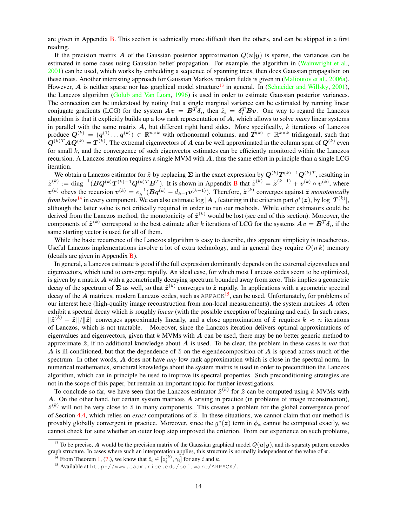are given in Appendix [B.](#page-24-1) This section is technically more difficult than the others, and can be skipped in a first reading.

If the precision matrix A of the Gaussian posterior approximation  $Q(u|y)$  is sparse, the variances can be estimated in some cases using Gaussian belief propagation. For example, the algorithm in [\(Wainwright et al.,](#page-28-14) [2001\)](#page-28-14) can be used, which works by embedding a sequence of spanning trees, then does Gaussian propagation on these trees. Another interesting approach for Gaussian Markov random fields is given in [\(Malioutov et al.,](#page-27-14) [2006a\)](#page-27-14). However, A is neither sparse nor has graphical model structure<sup>[13](#page-14-0)</sup> in general. In [\(Schneider and Willsky,](#page-28-15) [2001\)](#page-28-15), the Lanczos algorithm [\(Golub and Van Loan,](#page-27-13) [1996\)](#page-27-13) is used in order to estimate Gaussian posterior variances. The connection can be understood by noting that a single marginal variance can be estimated by running linear conjugate gradients (LCG) for the system  $Av = B^T \delta_i$ , then  $\tilde{z}_i = \delta_i^T B v$ . One way to regard the Lanczos algorithm is that it explicitly builds up a low rank representation of A, which allows to solve *many* linear systems in parallel with the same matrix  $A$ , but different right hand sides. More specifically,  $k$  iterations of Lanczos produce  $Q^{(k)} = (q^{(1)} \dots q^{(k)}) \in \mathbb{R}^{n \times k}$  with orthonormal columns, and  $T^{(k)} \in \mathbb{R}^{k \times k}$  tridiagonal, such that  $Q^{(k)T}AQ^{(k)} = T^{(k)}$ . The extremal eigenvectors of  $A$  can be well approximated in the column span of  $Q^{(k)}$  even for small  $k$ , and the convergence of such eigenvector estimates can be efficiently monitored within the Lanczos recursion. A Lanczos iteration requires a single MVM with  $\vec{A}$ , thus the same effort in principle than a single LCG iteration.

We obtain a Lanczos estimator for  $\tilde{z}$  by replacing  $\Sigma$  in the exact expression by  $Q^{(k)}T^{(k)-1}Q^{(k)T}$ , resulting in  $\tilde{\boldsymbol{z}}^{(k)} := \text{diag}^{-1}(\boldsymbol{B}\boldsymbol{Q}^{(k)}\boldsymbol{T}^{(k)-1}\boldsymbol{Q}^{(k)T}\boldsymbol{B}^{T})$  $\tilde{\boldsymbol{z}}^{(k)} := \text{diag}^{-1}(\boldsymbol{B}\boldsymbol{Q}^{(k)}\boldsymbol{T}^{(k)-1}\boldsymbol{Q}^{(k)T}\boldsymbol{B}^{T})$  $\tilde{\boldsymbol{z}}^{(k)} := \text{diag}^{-1}(\boldsymbol{B}\boldsymbol{Q}^{(k)}\boldsymbol{T}^{(k)-1}\boldsymbol{Q}^{(k)T}\boldsymbol{B}^{T})$ . It is shown in Appendix B that  $\tilde{\boldsymbol{z}}^{(k)} = \tilde{\boldsymbol{z}}^{(k-1)} + \boldsymbol{v}^{(k)} \circ \boldsymbol{v}^{(k)}$ , where  $v^{(k)}$  obeys the recursion  $v^{(k)} = e_k^{-1} (Bq^{(k)} - d_{k-1}v^{(k-1)})$ . Therefore,  $\tilde{z}^{(k)}$  converges against  $\tilde{z}$  *monotonically from below*<sup>[14](#page-14-1)</sup> in every component. We can also estimate  $\log |A|$ , featuring in the criterion part  $g^*(z)$ , by  $\log |T^{(k)}|$ , although the latter value is not critically required in order to run our methods. While other estimators could be derived from the Lanczos method, the monotonicity of  $\tilde{z}^{(k)}$  would be lost (see end of this section). Moreover, the components of  $\tilde{\bm{z}}^{(k)}$  correspond to the best estimate after  $k$  iterations of LCG for the systems  $\bm{A} \bm{v} = \bm{B}^T \bm{\delta}_i,$  if the same starting vector is used for all of them.

While the basic recurrence of the Lanczos algorithm is easy to describe, this apparent simplicity is treacherous. Useful Lanczos implementations involve a lot of extra technology, and in general they require  $O(n k)$  memory (details are given in Appendix [B\)](#page-24-1).

In general, a Lanczos estimate is good if the full expression dominantly depends on the extremal eigenvalues and eigenvectors, which tend to converge rapidly. An ideal case, for which most Lanczos codes seem to be optimized, is given by a matrix  $A$  with a geometrically decaying spectrum bounded away from zero. This implies a geometric decay of the spectrum of  $\Sigma$  as well, so that  $\tilde{z}^{(k)}$  converges to  $\tilde{z}$  rapidly. In applications with a geometric spectral decay of the A matrices, modern Lanczos codes, such as  $ARPACK<sup>15</sup>$  $ARPACK<sup>15</sup>$  $ARPACK<sup>15</sup>$ , can be used. Unfortunately, for problems of our interest here (high-quality image reconstruction from non-local measurements), the system matrices  $A$  often exhibit a spectral decay which is roughly *linear* (with the possible exception of beginning and end). In such cases,  $\|\tilde{z}^{(k)} - \tilde{z}\|/\|\tilde{z}\|$  converges approximately linearly, and a close approximation of  $\tilde{z}$  requires  $k \approx n$  iterations of Lanczos, which is not tractable. Moreover, since the Lanczos iteration delivers optimal approximations of eigenvalues and eigenvectors, given that  $k$  MVMs with  $\boldsymbol{A}$  can be used, there may be no better generic method to approximate  $\tilde{z}$ , if no additional knowledge about  $\tilde{A}$  is used. To be clear, the problem in these cases is *not* that A is ill-conditioned, but that the dependence of  $\tilde{z}$  on the eigendecomposition of A is spread across much of the spectrum. In other words, A does not have *any* low rank approximation which is close in the spectral norm. In numerical mathematics, structural knowledge about the system matrix is used in order to precondition the Lanczos algorithm, which can in principle be used to improve its spectral properties. Such preconditioning strategies are not in the scope of this paper, but remain an important topic for further investigations.

To conclude so far, we have seen that the Lanczos estimator  $\tilde{\mathbf{z}}^{(k)}$  for  $\tilde{\mathbf{z}}$  can be computed using k MVMs with A. On the other hand, for certain system matrices  $\vec{A}$  arising in practice (in problems of image reconstruction),  $\tilde{z}^{(k)}$  will not be very close to  $\tilde{z}$  in many components. This creates a problem for the global convergence proof of Section [4.4,](#page-12-0) which relies on *exact* computations of  $\tilde{z}$ . In these situations, we cannot claim that our method is provably globally convergent in practice. Moreover, since the  $g^*(z)$  term in  $\phi_z$  cannot be computed exactly, we cannot check for sure whether an outer loop step improved the criterion. From our experience on such problems,

<span id="page-14-0"></span><sup>&</sup>lt;sup>13</sup> To be precise, A would be the precision matrix of the Gaussian graphical model  $Q(u|y)$ , and its sparsity pattern encodes graph structure. In cases where such an interpretation applies, this structure is normally independent of the value of  $\pi$ .

<span id="page-14-1"></span><sup>&</sup>lt;sup>14</sup> From Theorem [1,](#page-7-8) [\(7.](#page-7-6)), we know that  $\tilde{z}_i \in [z_i^{(k)}, \gamma_i]$  for any i and k.

<span id="page-14-2"></span><sup>15</sup> Available at http://www.caam.rice.edu/software/ARPACK/.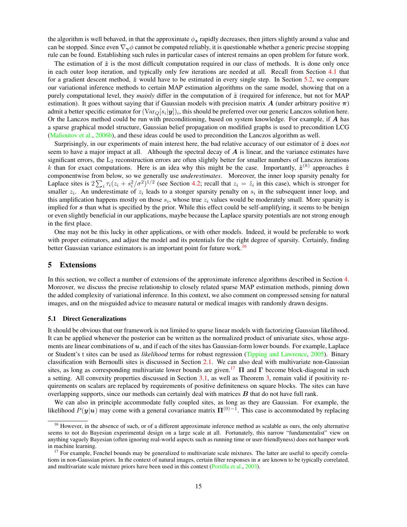the algorithm is well behaved, in that the approximate  $\phi_z$  rapidly decreases, then jitters slightly around a value and can be stopped. Since even  $\nabla_{\gamma}\phi$  cannot be computed reliably, it is questionable whether a generic precise stopping rule can be found. Establishing such rules in particular cases of interest remains an open problem for future work.

The estimation of  $\tilde{z}$  is the most difficult computation required in our class of methods. It is done only once in each outer loop iteration, and typically only few iterations are needed at all. Recall from Section [4.1](#page-9-1) that for a gradient descent method,  $\tilde{z}$  would have to be estimated in every single step. In Section [5.2,](#page-16-0) we compare our variational inference methods to certain MAP estimation algorithms on the same model, showing that on a purely computational level, they *mainly* differ in the computation of  $\tilde{z}$  (required for inference, but not for MAP estimation). It goes without saying that if Gaussian models with precision matrix A (under arbitrary positive  $\pi$ ) admit a better specific estimator for  $(\text{Var}_Q[s_i|\bm{y}])_i$ , this should be preferred over our generic Lanczos solution here. Or the Lanczos method could be run with preconditioning, based on system knowledge. For example, if A has a sparse graphical model structure, Gaussian belief propagation on modified graphs is used to precondition LCG [\(Malioutov et al.,](#page-27-15) [2006b\)](#page-27-15), and these ideas could be used to precondition the Lanczos algorithm as well.

Surprisingly, in our experiments of main interest here, the bad relative accuracy of our estimator of  $\tilde{z}$  does *not* seem to have a major impact at all. Although the spectral decay of  $\vec{A}$  is linear, and the variance estimates have significant errors, the  $L_2$  reconstruction errors are often slightly better for smaller numbers of Lanczos iterations k than for exact computations. Here is an idea why this might be the case. Importantly,  $\tilde{z}^{(k)}$  approaches  $\tilde{z}$ componentwise from below, so we generally use *underestimates*. Moreover, the inner loop sparsity penalty for Laplace sites is  $2\sum_i \tau_i(z_i+s_i^2/\sigma^2)^{1/2}$  (see Section [4.2;](#page-11-1) recall that  $z_i = \tilde{z}_i$  in this case), which is stronger for smaller  $z_i$ . An underestimate of  $z_i$  leads to a stonger sparsity penalty on  $s_i$  in the subsequent inner loop, and this amplification happens mostly on those  $s_i$ , whose true  $z_i$  values would be moderately small. More sparsity is implied for s than what is specified by the prior. While this effect could be self-amplifying, it seems to be benign or even slightly beneficial in our applications, maybe because the Laplace sparsity potentials are not strong enough in the first place.

One may not be this lucky in other applications, or with other models. Indeed, it would be preferable to work with proper estimators, and adjust the model and its potentials for the right degree of sparsity. Certainly, finding better Gaussian variance estimators is an important point for future work.<sup>[16](#page-15-2)</sup>

## <span id="page-15-0"></span>5 Extensions

In this section, we collect a number of extensions of the approximate inference algorithms described in Section [4.](#page-9-0) Moreover, we discuss the precise relationship to closely related sparse MAP estimation methods, pinning down the added complexity of variational inference. In this context, we also comment on compressed sensing for natural images, and on the misguided advice to measure natural or medical images with randomly drawn designs.

#### <span id="page-15-1"></span>5.1 Direct Generalizations

It should be obvious that our framework is not limited to sparse linear models with factorizing Gaussian likelihood. It can be applied whenever the posterior can be written as the normalized product of univariate sites, whose arguments are linear combinations of  $u$ , and if each of the sites has Gaussian-form lower bounds. For example, Laplace or Student's t sites can be used as *likelihood* terms for robust regression [\(Tipping and Lawrence,](#page-28-16) [2005\)](#page-28-16). Binary classification with Bernoulli sites is discussed in Section [2.1.](#page-4-6) We can also deal with multivariate non-Gaussian sites, as long as corresponding multivariate lower bounds are given.<sup>[17](#page-15-3)</sup>  $\Pi$  and  $\Gamma$  become block-diagonal in such a setting. All convexity properties discussed in Section [3.1,](#page-7-10) as well as Theorem [3,](#page-8-3) remain valid if positivity requirements on scalars are replaced by requirements of positive definiteness on square blocks. The sites can have overlapping supports, since our methods can certainly deal with matrices  $B$  that do not have full rank.

We can also in principle accommodate fully coupled sites, as long as they are Gaussian. For example, the likelihood  $P(y|u)$  may come with a general covariance matrix  $\Pi^{(0)-1}$ . This case is accommodated by replacing

<span id="page-15-2"></span><sup>&</sup>lt;sup>16</sup> However, in the absence of such, or of a different approximate inference method as scalable as ours, the only alternative seems to not do Bayesian experimental design on a large scale at all. Fortunately, this narrow "fundamentalist" view on anything vaguely Bayesian (often ignoring real-world aspects such as running time or user-friendlyness) does not hamper work in machine learning.

<span id="page-15-3"></span> $17$  For example, Fenchel bounds may be generalized to multivariate scale mixtures. The latter are useful to specify correlations in non-Gaussian priors. In the context of natural images, certain filter responses in s are known to be typically correlated, and multivariate scale mixture priors have been used in this context [\(Portilla et al.,](#page-28-17) [2003\)](#page-28-17).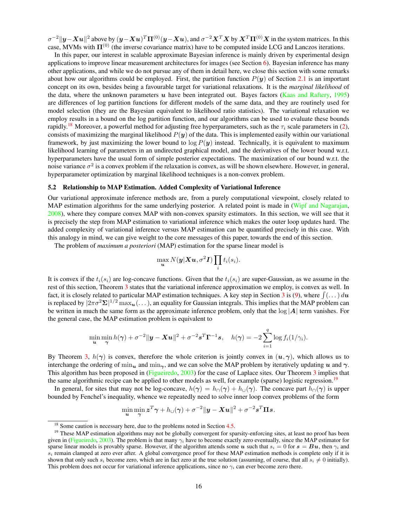$\sigma^{-2}||y-Xu||^2$  above by  $(y-Xu)^T\Pi^{(0)}(y-Xu)$ , and  $\sigma^{-2}X^TX$  by  $X^T\Pi^{(0)}X$  in the system matrices. In this case, MVMs with  $\Pi^{(0)}$  (the inverse covariance matrix) have to be computed inside LCG and Lanczos iterations.

In this paper, our interest in scalable approximate Bayesian inference is mainly driven by experimental design applications to improve linear measurement architectures for images (see Section [6\)](#page-18-0). Bayesian inference has many other applications, and while we do not pursue any of them in detail here, we close this section with some remarks about how our algorithms could be employed. First, the partition function  $P(y)$  of Section [2.1](#page-4-6) is an important concept on its own, besides being a favourable target for variational relaxations. It is the *marginal likelihood* of the data, where the unknown parameters u have been integrated out. Bayes factors [\(Kaas and Raftery,](#page-27-16) [1995\)](#page-27-16) are differences of log partition functions for different models of the same data, and they are routinely used for model selection (they are the Bayesian equivalent to likelihood ratio statistics). The variational relaxation we employ results in a bound on the log partition function, and our algorithms can be used to evaluate these bounds rapidly.<sup>[18](#page-16-1)</sup> Moreover, a powerful method for adjusting free hyperparameters, such as the  $\tau_i$  scale parameters in [\(2\)](#page-4-4), consists of maximizing the marginal likelihood  $P(y)$  of the data. This is implemented easily within our variational framework, by just maximizing the lower bound to  $\log P(y)$  instead. Technically, it is equivalent to maximum likelihood learning of parameters in an undirected graphical model, and the derivatives of the lower bound w.r.t. hyperparameters have the usual form of simple posterior expectations. The maximization of our bound w.r.t. the noise variance  $\sigma^2$  is a convex problem if the relaxation is convex, as will be shown elsewhere. However, in general, hyperparameter optimization by marginal likelihood techniques is a non-convex problem.

#### <span id="page-16-0"></span>5.2 Relationship to MAP Estimation. Added Complexity of Variational Inference

Our variational approximate inference methods are, from a purely computational viewpoint, closely related to MAP estimation algorithms for the same underlying posterior. A related point is made in [\(Wipf and Nagarajan,](#page-28-5) [2008\)](#page-28-5), where they compare convex MAP with non-convex sparsity estimators. In this section, we will see that it is precisely the step from MAP estimation to variational inference which makes the outer loop updates hard. The added complexity of variational inference versus MAP estimation can be quantified precisely in this case. With this analogy in mind, we can give weight to the core messages of this paper, towards the end of this section.

The problem of *maximum a posteriori* (MAP) estimation for the sparse linear model is

$$
\max_{\boldsymbol{u}} N(\boldsymbol{y}|\boldsymbol{X}\boldsymbol{u}, \sigma^2\boldsymbol{I}) \prod_i t_i(s_i).
$$

It is convex if the  $t_i(s_i)$  are log-concave functions. Given that the  $t_i(s_i)$  are super-Gaussian, as we assume in the rest of this section, Theorem [3](#page-8-3) states that the variational inference approximation we employ, is convex as well. In fact, it is closely related to particular MAP estimation techniques. A key step in Section [3](#page-6-0) is [\(9\)](#page-6-4), where  $\int (\dots) du$ is replaced by  $|2\pi\sigma^2\bm{\Sigma}|^{1/2}\max_{\bm{u}}(\dots)$ , an equality for Gaussian integrals. This implies that the MAP problem can be written in much the same form as the approximate inference problem, only that the  $log|A|$  term vanishes. For the general case, the MAP estimation problem is equivalent to

$$
\min_{\mathbf{u}} \min_{\mathbf{\gamma}} h(\mathbf{\gamma}) + \sigma^{-2} \|\mathbf{y} - \mathbf{X} \mathbf{u}\|^2 + \sigma^{-2} \mathbf{s}^T \mathbf{\Gamma}^{-1} \mathbf{s}, \quad h(\mathbf{\gamma}) = -2 \sum_{i=1}^q \log f_i(1/\gamma_i).
$$

By Theorem [3,](#page-8-3)  $h(\gamma)$  is convex, therefore the whole criterion is jointly convex in  $(u, \gamma)$ , which allows us to interchange the ordering of  $\min_{\gamma}$  and  $\min_{\gamma}$ , and we can solve the MAP problem by iteratively updating u and  $\gamma$ . This algorithm has been proposed in [\(Figueiredo,](#page-27-7) [2003\)](#page-27-7) for the case of Laplace sites. Our Theorem [3](#page-8-3) implies that the same algorithmic recipe can be applied to other models as well, for example (sparse) logistic regression.[19](#page-16-2)

In general, for sites that may not be log-concave,  $h(\gamma) = h_0(\gamma) + h_0(\gamma)$ . The concave part  $h_0(\gamma)$  is upper bounded by Fenchel's inequality, whence we repeatedly need to solve inner loop convex problems of the form

$$
\min_{\mathbf{u}} \min_{\mathbf{\gamma}} \mathbf{z}^T \mathbf{\gamma} + h_{\cup}(\mathbf{\gamma}) + \sigma^{-2} \|\mathbf{y} - \mathbf{X} \mathbf{u}\|^2 + \sigma^{-2} \mathbf{s}^T \mathbf{\Pi} \mathbf{s}.
$$

<span id="page-16-2"></span><span id="page-16-1"></span><sup>&</sup>lt;sup>18</sup> Some caution is necessary here, due to the problems noted in Section [4.5.](#page-13-0)

<sup>&</sup>lt;sup>19</sup> These MAP estimation algorithms may not be globally convergent for sparsity-enforcing sites, at least no proof has been given in [\(Figueiredo,](#page-27-7) [2003\)](#page-27-7). The problem is that many  $\gamma_i$  have to become exactly zero eventually, since the MAP estimator for sparse linear models is provably sparse. However, if the algorithm attends some u such that  $s_i = 0$  for  $s = Bu$ , then  $\gamma_i$  and  $s_i$  remain clamped at zero ever after. A global convergence proof for these MAP estimation methods is complete only if it is shown that only such  $s_i$  become zero, which are in fact zero at the true solution (assuming, of course, that all  $s_i \neq 0$  initially). This problem does not occur for variational inference applications, since no  $\gamma_i$  can ever become zero there.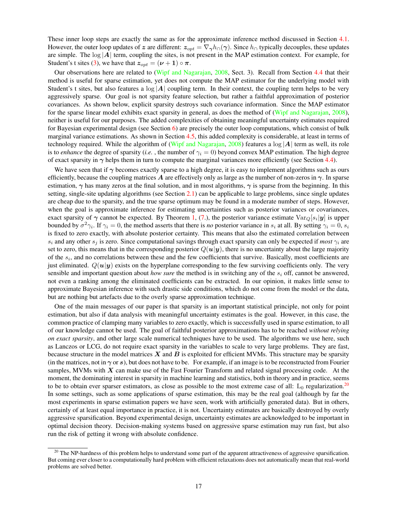These inner loop steps are exactly the same as for the approximate inference method discussed in Section [4.1.](#page-9-1) However, the outer loop updates of z are different:  $z_{opt} = \nabla_{\gamma} h_{\cap}(\gamma)$ . Since  $h_{\cap}$  typically decouples, these updates are simple. The  $\log |A|$  term, coupling the sites, is not present in the MAP estimation context. For example, for Student's t sites [\(3\)](#page-4-5), we have that  $z_{opt} = (\nu + 1) \circ \pi$ .

Our observations here are related to [\(Wipf and Nagarajan,](#page-28-5) [2008,](#page-28-5) Sect. 3). Recall from Section [4.4](#page-12-0) that their method is useful for sparse estimation, yet does not compute the MAP estimator for the underlying model with Student's t sites, but also features a  $\log |A|$  coupling term. In their context, the coupling term helps to be very aggressively sparse. Our goal is not sparsity feature selection, but rather a faithful approximation of posterior covariances. As shown below, explicit sparsity destroys such covariance information. Since the MAP estimator for the sparse linear model exhibits exact sparsity in general, as does the method of [\(Wipf and Nagarajan,](#page-28-5) [2008\)](#page-28-5), neither is useful for our purposes. The added complexities of obtaining meaningful uncertainty estimates required for Bayesian experimental design (see Section [6\)](#page-18-0) are precisely the outer loop computations, which consist of bulk marginal variance estimations. As shown in Section [4.5,](#page-13-0) this added complexity is considerable, at least in terms of technology required. While the algorithm of [\(Wipf and Nagarajan,](#page-28-5) [2008\)](#page-28-5) features a  $\log |A|$  term as well, its role is to *enhance* the degree of sparsity (*i.e.*, the number of  $\gamma_i = 0$ ) beyond convex MAP estimation. The high degree of exact sparsity in  $\gamma$  helps them in turn to compute the marginal variances more efficiently (see Section [4.4\)](#page-12-0).

We have seen that if  $\gamma$  becomes exactly sparse to a high degree, it is easy to implement algorithms such as ours efficiently, because the coupling matrices A are effectively only as large as the number of non-zeros in  $\gamma$ . In sparse estimation,  $\gamma$  has many zeros at the final solution, and in most algorithms,  $\gamma$  is sparse from the beginning. In this setting, single-site updating algorithms (see Section [2.1\)](#page-4-6) can be applicable to large problems, since single updates are cheap due to the sparsity, and the true sparse optimum may be found in a moderate number of steps. However, when the goal is approximate inference for estimating uncertainties such as posterior variances or covariances, exact sparsity of  $\gamma$  cannot be expected. By Theorem [1,](#page-7-8) [\(7.](#page-7-6)), the posterior variance estimate  $Var_Q[s_i|y]$  is upper bounded by  $\sigma^2\gamma_i$ . If  $\gamma_i=0$ , the method asserts that there is *no* posterior variance in  $s_i$  at all. By setting  $\gamma_i=0$ ,  $s_i$ is fixed to zero exactly, with absolute posterior certainty. This means that also the estimated correlation between  $s_i$  and any other  $s_j$  is zero. Since computational savings through exact sparsity can only be expected if *most*  $\gamma_i$  are set to zero, this means that in the corresponding posterior  $Q(u|y)$ , there is no uncertainty about the large majority of the  $s_i$ , and no correlations between these and the few coefficients that survive. Basically, most coefficients are just eliminated.  $Q(u|y)$  exists on the hyperplane corresponding to the few surviving coefficients only. The very sensible and important question about *how sure* the method is in switching any of the  $s_i$  off, cannot be answered, not even a ranking among the eliminated coefficients can be extracted. In our opinion, it makes little sense to approximate Bayesian inference with such drastic side conditions, which do not come from the model or the data, but are nothing but artefacts due to the overly sparse approximation technique.

One of the main messages of our paper is that sparsity is an important statistical principle, not only for point estimation, but also if data analysis with meaningful uncertainty estimates is the goal. However, in this case, the common practice of clamping many variables to zero exactly, which is successfully used in sparse estimation, to all of our knowledge cannot be used. The goal of faithful posterior approximations has to be reached *without relying on exact sparsity*, and other large scale numerical techniques have to be used. The algorithms we use here, such as Lanczos or LCG, do not require exact sparsity in the variables to scale to very large problems. They are fast, because structure in the model matrices  $X$  and  $B$  is exploited for efficient MVMs. This structure may be sparsity (in the matrices, not in  $\gamma$  or s), but does not have to be. For example, if an image is to be reconstructed from Fourier samples, MVMs with  $X$  can make use of the Fast Fourier Transform and related signal processing code. At the moment, the dominating interest in sparsity in machine learning and statistics, both in theory and in practice, seems to be to obtain ever sparser estimators, as close as possible to the most extreme case of all:  $L_0$  regularization.<sup>[20](#page-17-0)</sup> In some settings, such as some applications of sparse estimation, this may be the real goal (although by far the most experiments in sparse estimation papers we have seen, work with artificially generated data). But in others, certainly of at least equal importance in practice, it is not. Uncertainty estimates are basically destroyed by overly aggressive sparsification. Beyond experimental design, uncertainty estimates are acknowledged to be important in optimal decision theory. Decision-making systems based on aggressive sparse estimation may run fast, but also run the risk of getting it wrong with absolute confidence.

<span id="page-17-0"></span> $20$  The NP-hardness of this problem helps to understand some part of the apparent attractiveness of aggressive sparsification. But coming ever closer to a computationally hard problem with efficient relaxations does not automatically mean that real-world problems are solved better.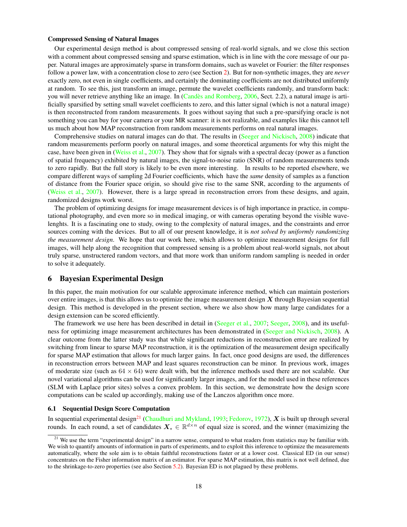## Compressed Sensing of Natural Images

Our experimental design method is about compressed sensing of real-world signals, and we close this section with a comment about compressed sensing and sparse estimation, which is in line with the core message of our paper. Natural images are approximately sparse in transform domains, such as wavelet or Fourier: the filter responses follow a power law, with a concentration close to zero (see Section [2\)](#page-3-0). But for non-synthetic images, they are *never* exactly zero, not even in single coefficients, and certainly the dominating coefficients are not distributed uniformly at random. To see this, just transform an image, permute the wavelet coefficients randomly, and transform back: you will never retrieve anything like an image. In (Candès and Romberg, [2006,](#page-26-2) Sect. 2.2), a natural image is artificially sparsified by setting small wavelet coefficients to zero, and this latter signal (which is not a natural image) is then reconstructed from random measurements. It goes without saying that such a pre-sparsifying oracle is not something you can buy for your camera or your MR scanner: it is not realizable, and examples like this cannot tell us much about how MAP reconstruction from random measurements performs on real natural images.

Comprehensive studies on natural images can do that. The results in [\(Seeger and Nickisch,](#page-28-3) [2008\)](#page-28-3) indicate that random measurements perform poorly on natural images, and some theoretical arguments for why this might the case, have been given in [\(Weiss et al.,](#page-28-4) [2007\)](#page-28-4). They show that for signals with a spectral decay (power as a function of spatial frequency) exhibited by natural images, the signal-to-noise ratio (SNR) of random measurements tends to zero rapidly. But the full story is likely to be even more interesting. In results to be reported elsewhere, we compare different ways of sampling 2d Fourier coefficients, which have the *same* density of samples as a function of distance from the Fourier space origin, so should give rise to the same SNR, according to the arguments of [\(Weiss et al.,](#page-28-4) [2007\)](#page-28-4). However, there is a large spread in reconstruction errors from these designs, and again, randomized designs work worst.

The problem of optimizing designs for image measurement devices is of high importance in practice, in computational photography, and even more so in medical imaging, or with cameras operating beyond the visible wavelenghts. It is a fascinating one to study, owing to the complexity of natural images, and the constraints and error sources coming with the devices. But to all of our present knowledge, it is *not solved by uniformly randomizing the measurement design*. We hope that our work here, which allows to optimize measurement designs for full images, will help along the recognition that compressed sensing is a problem about real-world signals, not about truly sparse, unstructered random vectors, and that more work than uniform random sampling is needed in order to solve it adequately.

## <span id="page-18-0"></span>6 Bayesian Experimental Design

In this paper, the main motivation for our scalable approximate inference method, which can maintain posteriors over entire images, is that this allows us to optimize the image measurement design  $X$  through Bayesian sequential design. This method is developed in the present section, where we also show how many large candidates for a design extension can be scored efficiently.

The framework we use here has been described in detail in [\(Seeger et al.,](#page-28-18) [2007;](#page-28-18) [Seeger,](#page-28-1) [2008\)](#page-28-1), and its usefulness for optimizing image measurement architectures has been demonstrated in [\(Seeger and Nickisch,](#page-28-3) [2008\)](#page-28-3). A clear outcome from the latter study was that while significant reductions in reconstruction error are realized by switching from linear to sparse MAP reconstruction, it is the optimization of the measurement design specifically for sparse MAP estimation that allows for much larger gains. In fact, once good designs are used, the differences in reconstruction errors between MAP and least squares reconstruction can be minor. In previous work, images of moderate size (such as  $64 \times 64$ ) were dealt with, but the inference methods used there are not scalable. Our novel variational algorithms can be used for significantly larger images, and for the model used in these references (SLM with Laplace prior sites) solves a convex problem. In this section, we demonstrate how the design score computations can be scaled up accordingly, making use of the Lanczos algorithm once more.

#### 6.1 Sequential Design Score Computation

In sequential experimental design<sup>[21](#page-18-1)</sup> [\(Chaudhuri and Mykland,](#page-27-17) [1993;](#page-27-17) [Fedorov,](#page-27-18) [1972\)](#page-27-18),  $X$  is built up through several rounds. In each round, a set of candidates  $X_* \in \mathbb{R}^{d \times n}$  of equal size is scored, and the winner (maximizing the

<span id="page-18-1"></span><sup>&</sup>lt;sup>21</sup> We use the term "experimental design" in a narrow sense, compared to what readers from statistics may be familiar with. We wish to quantify amounts of information in parts of experiments, and to exploit this inference to optimize the measurements automatically, where the sole aim is to obtain faithful reconstructions faster or at a lower cost. Classical ED (in our sense) concentrates on the Fisher information matrix of an estimator. For sparse MAP estimation, this matrix is not well defined, due to the shrinkage-to-zero properties (see also Section [5.2\)](#page-16-0). Bayesian ED is not plagued by these problems.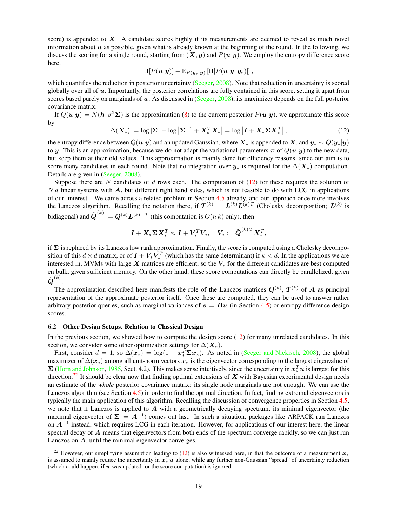score) is appended to  $X$ . A candidate scores highly if its measurements are deemed to reveal as much novel information about  $u$  as possible, given what is already known at the beginning of the round. In the following, we discuss the scoring for a single round, starting from  $(X, y)$  and  $P(u|y)$ . We employ the entropy difference score here,

$$
\text{H}[P(\boldsymbol{u}|\boldsymbol{y})]-\text{E}_{P(\boldsymbol{y}_*|\boldsymbol{y})}\left[\text{H}[P(\boldsymbol{u}|\boldsymbol{y},\boldsymbol{y}_*)]\right],
$$

which quantifies the reduction in posterior uncertainty [\(Seeger,](#page-28-1) [2008\)](#page-28-1). Note that reduction in uncertainty is scored globally over all of  $u$ . Importantly, the posterior correlations are fully contained in this score, setting it apart from scores based purely on marginals of  $u$ . As discussed in [\(Seeger,](#page-28-1) [2008\)](#page-28-1), its maximizer depends on the full posterior covariance matrix.

If  $Q(u|y) = N(h, \sigma^2\Sigma)$  is the approximation [\(8\)](#page-6-3) to the current posterior  $P(u|y)$ , we approximate this score by

<span id="page-19-0"></span>
$$
\Delta(\boldsymbol{X}_*) := \log |\boldsymbol{\Sigma}| + \log |\boldsymbol{\Sigma}^{-1} + \boldsymbol{X}_*^T \boldsymbol{X}_*| = \log |\boldsymbol{I} + \boldsymbol{X}_* \boldsymbol{\Sigma} \boldsymbol{X}_*^T|,\tag{12}
$$

the entropy difference between  $Q(u|y)$  and an updated Gaussian, where  $X_*$  is appended to  $X$ , and  $y_* \sim Q(y_*|y)$ to y. This is an approximation, because we do not adapt the variational parameters  $\pi$  of  $Q(u|y)$  to the new data, but keep them at their old values. This approximation is mainly done for efficiency reasons, since our aim is to score many candidates in each round. Note that no integration over  $y_*$  is required for the  $\Delta(X_*)$  computation. Details are given in [\(Seeger,](#page-28-1) [2008\)](#page-28-1).

Suppose there are N candidates of d rows each. The computation of  $(12)$  for these requires the solution of  $N d$  linear systems with  $A$ , but different right hand sides, which is not feasible to do with LCG in applications of our interest. We came across a related problem in Section [4.5](#page-13-0) already, and our approach once more involves the Lanczos algorithm. Recalling the notation there, if  $T^{(k)} = L^{(k)} L^{(k)T}$  (Cholesky decomposition;  $L^{(k)}$  is bidiagonal) and  $\tilde{\boldsymbol{Q}}^{(k)} := \boldsymbol{Q}^{(k)} \boldsymbol{L}^{(k)-T}$  (this computation is  $O(n \, k)$  only), then

$$
\boldsymbol{I} + \boldsymbol{X}_* \boldsymbol{\Sigma} \boldsymbol{X}_*^T \approx \boldsymbol{I} + \boldsymbol{V}_*^T \boldsymbol{V}_*, \quad \boldsymbol{V}_* := \tilde{\boldsymbol{Q}}^{(k)T} \boldsymbol{X}_*^T,
$$

if  $\Sigma$  is replaced by its Lanczos low rank approximation. Finally, the score is computed using a Cholesky decomposition of this  $d \times d$  matrix, or of  $I + V_* V_*^T$  (which has the same determinant) if  $k < d$ . In the applications we are interested in, MVMs with large  $X$  matrices are efficient, so the  $V_*$  for the different candidates are best computed en bulk, given sufficient memory. On the other hand, these score computations can directly be parallelized, given  $\tilde{\bm{Q}}^{(k)}.$ 

The approximation described here manifests the role of the Lanczos matrices  $Q^{(k)}$ ,  $T^{(k)}$  of A as principal representation of the approximate posterior itself. Once these are computed, they can be used to answer rather arbitrary posterior queries, such as marginal variances of  $s = Bu$  (in Section [4.5\)](#page-13-0) or entropy difference design scores.

#### 6.2 Other Design Setups. Relation to Classical Design

In the previous section, we showed how to compute the design score  $(12)$  for many unrelated candidates. In this section, we consider some other optimization settings for  $\Delta(\mathbf{X}_*)$ .

First, consider  $d = 1$ , so  $\Delta(x_*) = \log(1 + x_*^T \Sigma x_*)$ . As noted in [\(Seeger and Nickisch,](#page-28-3) [2008\)](#page-28-3), the global maximizer of  $\Delta(x_*)$  among all unit-norm vectors  $x_*$  is the eigenvector corresponding to the largest eigenvalue of  $\Sigma$  [\(Horn and Johnson,](#page-27-19) [1985,](#page-27-19) Sect. 4.2). This makes sense intuitively, since the uncertainty in  $x_*^T u$  is largest for this direction.<sup>[22](#page-19-1)</sup> It should be clear now that finding optimal extensions of  $X$  with Bayesian experimental design needs an estimate of the *whole* posterior covariance matrix: its single node marginals are not enough. We can use the Lanczos algorithm (see Section [4.5\)](#page-13-0) in order to find the optimal direction. In fact, finding extremal eigenvectors is typically the main application of this algorithm. Recalling the discussion of convergence properties in Section [4.5,](#page-13-0) we note that if Lanczos is applied to  $A$  with a geometrically decaying spectrum, its minimal eigenvector (the maximal eigenvector of  $\Sigma = A^{-1}$ ) comes out last. In such a situation, packages like ARPACK run Lanczos on  $A^{-1}$  instead, which requires LCG in each iteration. However, for applications of our interest here, the linear spectral decay of  $A$  means that eigenvectors from both ends of the spectrum converge rapidly, so we can just run Lanczos on A, until the minimal eigenvector converges.

<span id="page-19-1"></span><sup>&</sup>lt;sup>22</sup> However, our simplifying assumption leading to [\(12\)](#page-19-0) is also witnessed here, in that the outcome of a measurement  $x^*$ is assumed to mainly reduce the uncertainty in  $x_*^T u$  alone, while any further non-Gaussian "spread" of uncertainty reduction (which could happen, if  $\pi$  was updated for the score computation) is ignored.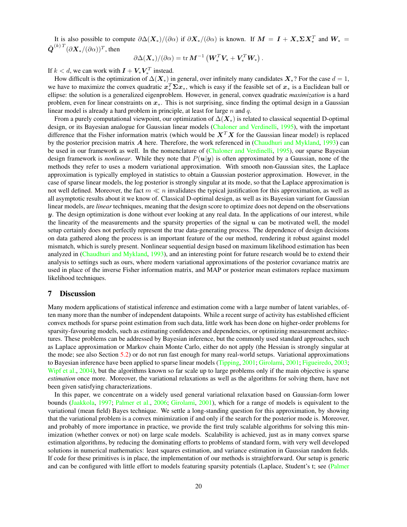It is also possible to compute  $\partial \Delta(\mathbf{X}_{*})/(\partial \alpha)$  if  $\partial \mathbf{X}_{*}/(\partial \alpha)$  is known. If  $\mathbf{M} = \mathbf{I} + \mathbf{X}_{*} \Sigma \mathbf{X}_{*}^{T}$  and  $\mathbf{W}_{*} =$  $\tilde{\bm{Q}}^{(k)\,T}(\partial \bm{X}_*/(\partial \alpha))^T$ , then

$$
\partial\Delta(\boldsymbol{X}_*)/(\partial\alpha) = \mathrm{tr}\,\boldsymbol{M}^{-1}\left(\boldsymbol{W}_*^T\boldsymbol{V}_* + \boldsymbol{V}_*^T\boldsymbol{W}_*\right).
$$

If  $k < d$ , we can work with  $\boldsymbol{I} + \boldsymbol{V}_* \boldsymbol{V}_*^T$  instead.

How difficult is the optimization of  $\Delta(X_*)$  in general, over infinitely many candidates  $X_*$ ? For the case  $d = 1$ , we have to maximize the convex quadratic  $x_*^T \Sigma x_*$ , which is easy if the feasible set of  $x_*$  is a Euclidean ball or ellipse: the solution is a generalized eigenproblem. However, in general, convex quadratic *maximization* is a hard problem, even for linear constraints on  $x_{\ast}$ . This is not surprising, since finding the optimal design in a Gaussian linear model is already a hard problem in principle, at least for large  $n$  and  $q$ .

From a purely computational viewpoint, our optimization of  $\Delta(X_*)$  is related to classical sequential D-optimal design, or its Bayesian analogue for Gaussian linear models [\(Chaloner and Verdinelli,](#page-27-20) [1995\)](#page-27-20), with the important difference that the Fisher information matrix (which would be  $X^TX$  for the Gaussian linear model) is replaced by the posterior precision matrix  $\vec{A}$  here. Therefore, the work referenced in [\(Chaudhuri and Mykland,](#page-27-17) [1993\)](#page-27-17) can be used in our framework as well. In the nomenclature of [\(Chaloner and Verdinelli,](#page-27-20) [1995\)](#page-27-20), our sparse Bayesian design framework is *nonlinear*. While they note that  $P(u|y)$  is often approximated by a Gaussian, none of the methods they refer to uses a modern variational approximation. With smooth non-Gaussian sites, the Laplace approximation is typically employed in statistics to obtain a Gaussian posterior approximation. However, in the case of sparse linear models, the log posterior is strongly singular at its mode, so that the Laplace approximation is not well defined. Moreover, the fact  $m \ll n$  invalidates the typical justification for this approximation, as well as all asymptotic results about it we know of. Classical D-optimal design, as well as its Bayesian variant for Gaussian linear models, are *linear* techniques, meaning that the design score to optimize does not depend on the observations  $y$ . The design optimization is done without ever looking at any real data. In the applications of our interest, while the linearity of the measurements and the sparsity properties of the signal  $u$  can be motivated well, the model setup certainly does not perfectly represent the true data-generating process. The dependence of design decisions on data gathered along the process is an important feature of the our method, rendering it robust against model mismatch, which is surely present. Nonlinear sequential design based on maximum likelihood estimation has been analyzed in [\(Chaudhuri and Mykland,](#page-27-17) [1993\)](#page-27-17), and an interesting point for future research would be to extend their analysis to settings such as ours, where modern variational approximations of the posterior covariance matrix are used in place of the inverse Fisher information matrix, and MAP or posterior mean estimators replace maximum likelihood techniques.

## 7 Discussion

Many modern applications of statistical inference and estimation come with a large number of latent variables, often many more than the number of independent datapoints. While a recent surge of activity has established efficient convex methods for sparse point estimation from such data, little work has been done on higher-order problems for sparsity-favouring models, such as estimating confidences and dependencies, or optimizing measurement architectures. These problems can be addressed by Bayesian inference, but the commonly used standard approaches, such as Laplace approximation or Markov chain Monte Carlo, either do not apply (the Hessian is strongly singular at the mode; see also Section [5.2\)](#page-16-0) or do not run fast enough for many real-world setups. Variational approximations to Bayesian inference have been applied to sparse linear models [\(Tipping,](#page-28-11) [2001;](#page-28-11) [Girolami,](#page-27-5) [2001;](#page-27-5) [Figueiredo,](#page-27-7) [2003;](#page-27-7) [Wipf et al.,](#page-28-10) [2004\)](#page-28-10), but the algorithms known so far scale up to large problems only if the main objective is sparse *estimation* once more. Moreover, the variational relaxations as well as the algorithms for solving them, have not been given satisfying characterizations.

In this paper, we concentrate on a widely used general variational relaxation based on Gaussian-form lower bounds [\(Jaakkola,](#page-27-3) [1997;](#page-27-3) [Palmer et al.,](#page-27-4) [2006;](#page-27-4) [Girolami,](#page-27-5) [2001\)](#page-27-5), which for a range of models is equivalent to the variational (mean field) Bayes technique. We settle a long-standing question for this approximation, by showing that the variational problem is a convex minimization if and only if the search for the posterior mode is. Moreover, and probably of more importance in practice, we provide the first truly scalable algorithms for solving this minimization (whether convex or not) on large scale models. Scalability is achieved, just as in many convex sparse estimation algorithms, by reducing the dominating efforts to problems of standard form, with very well developed solutions in numerical mathematics: least squares estimation, and variance estimation in Gaussian random fields. If code for these primitives is in place, the implementation of our methods is straightforward. Our setup is generic and can be configured with little effort to models featuring sparsity potentials (Laplace, Student's t; see [\(Palmer](#page-27-4)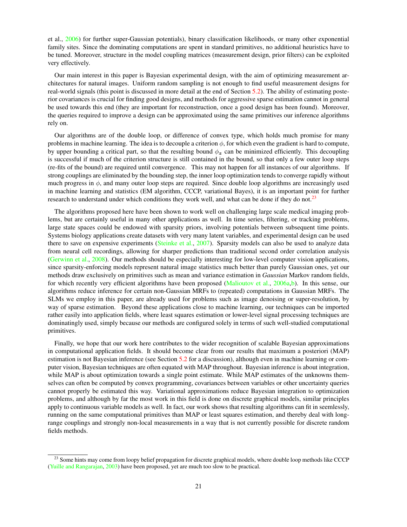[et al.,](#page-27-4) [2006\)](#page-27-4) for further super-Gaussian potentials), binary classification likelihoods, or many other exponential family sites. Since the dominating computations are spent in standard primitives, no additional heuristics have to be tuned. Moreover, structure in the model coupling matrices (measurement design, prior filters) can be exploited very effectively.

Our main interest in this paper is Bayesian experimental design, with the aim of optimizing measurement architectures for natural images. Uniform random sampling is not enough to find useful measurement designs for real-world signals (this point is discussed in more detail at the end of Section [5.2\)](#page-16-0). The ability of estimating posterior covariances is crucial for finding good designs, and methods for aggressive sparse estimation cannot in general be used towards this end (they are important for reconstruction, once a good design has been found). Moreover, the queries required to improve a design can be approximated using the same primitives our inference algorithms rely on.

Our algorithms are of the double loop, or difference of convex type, which holds much promise for many problems in machine learning. The idea is to decouple a criterion  $\phi$ , for which even the gradient is hard to compute, by upper bounding a critical part, so that the resulting bound  $\phi_z$  can be minimized efficiently. This decoupling is successful if much of the criterion structure is still contained in the bound, so that only a few outer loop steps (re-fits of the bound) are required until convergence. This may not happen for all instances of our algorithms. If strong couplings are eliminated by the bounding step, the inner loop optimization tends to converge rapidly without much progress in  $\phi$ , and many outer loop steps are required. Since double loop algorithms are increasingly used in machine learning and statistics (EM algorithm, CCCP, variational Bayes), it is an important point for further research to understand under which conditions they work well, and what can be done if they do not.<sup>[23](#page-21-0)</sup>

The algorithms proposed here have been shown to work well on challenging large scale medical imaging problems, but are certainly useful in many other applications as well. In time series, filtering, or tracking problems, large state spaces could be endowed with sparsity priors, involving potentials between subsequent time points. Systems biology applications create datasets with very many latent variables, and experimental design can be used there to save on expensive experiments [\(Steinke et al.,](#page-28-2) [2007\)](#page-28-2). Sparsity models can also be used to analyze data from neural cell recordings, allowing for sharper predictions than traditional second order correlation analysis [\(Gerwinn et al.,](#page-27-21) [2008\)](#page-27-21). Our methods should be especially interesting for low-level computer vision applications, since sparsity-enforcing models represent natural image statistics much better than purely Gaussian ones, yet our methods draw exclusively on primitives such as mean and variance estimation in *Gaussian* Markov random fields, for which recently very efficient algorithms have been proposed [\(Malioutov et al.,](#page-27-14) [2006a](#page-27-14)[,b\)](#page-27-15). In this sense, our algorithms reduce inference for certain non-Gaussian MRFs to (repeated) computations in Gaussian MRFs. The SLMs we employ in this paper, are already used for problems such as image denoising or super-resolution, by way of sparse estimation. Beyond these applications close to machine learning, our techniques can be imported rather easily into application fields, where least squares estimation or lower-level signal processing techniques are dominatingly used, simply because our methods are configured solely in terms of such well-studied computational primitives.

Finally, we hope that our work here contributes to the wider recognition of scalable Bayesian approximations in computational application fields. It should become clear from our results that maximum a posteriori (MAP) estimation is not Bayesian inference (see Section [5.2](#page-16-0) for a discussion), although even in machine learning or computer vision, Bayesian techniques are often equated with MAP throughout. Bayesian inference is about integration, while MAP is about optimization towards a single point estimate. While MAP estimates of the unknowns themselves can often be computed by convex programming, covariances between variables or other uncertainty queries cannot properly be estimated this way. Variational approximations reduce Bayesian integration to optimization problems, and although by far the most work in this field is done on discrete graphical models, similar principles apply to continuous variable models as well. In fact, our work shows that resulting algorithms can fit in seemlessly, running on the same computational primitives than MAP or least squares estimation, and thereby deal with longrange couplings and strongly non-local measurements in a way that is not currently possible for discrete random fields methods.

<span id="page-21-0"></span><sup>&</sup>lt;sup>23</sup> Some hints may come from loopy belief propagation for discrete graphical models, where double loop methods like CCCP [\(Yuille and Rangarajan,](#page-28-13) [2003\)](#page-28-13) have been proposed, yet are much too slow to be practical.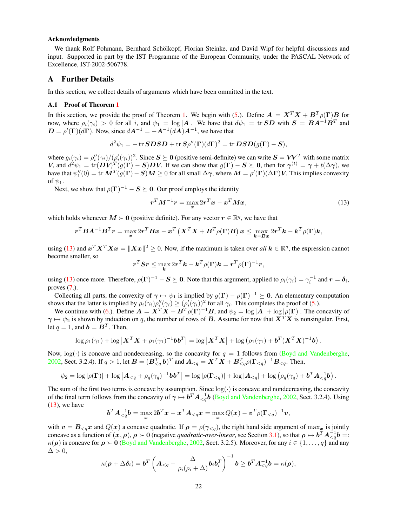#### Acknowledgments

We thank Rolf Pohmann, Bernhard Schölkopf, Florian Steinke, and David Wipf for helpful discussions and input. Supported in part by the IST Programme of the European Community, under the PASCAL Network of Excellence, IST-2002-506778.

## A Further Details

In this section, we collect details of arguments which have been ommitted in the text.

#### <span id="page-22-0"></span>A.1 Proof of Theorem [1](#page-7-8)

In this section, we provide the proof of Theorem [1.](#page-7-8) We begin with [\(5.](#page-7-3)). Define  $A = X^T X + B^T \rho(\Gamma) B$  for now, where  $\rho_i(\gamma_i) > 0$  for all i, and  $\psi_1 = \log|A|$ . We have that  $d\psi_1 = \text{tr} SD$  with  $S = BA^{-1}B^T$  and  $\mathbf{D} = \rho'(\Gamma)(d\Gamma)$ . Now, since  $d\mathbf{A}^{-1} = -\mathbf{A}^{-1}(d\mathbf{A})\mathbf{A}^{-1}$ , we have that

$$
d^2\psi_1 = -\operatorname{tr} SDSD + \operatorname{tr} S\rho''(\Gamma)(d\Gamma)^2 = \operatorname{tr} DSD(g(\Gamma) - S),
$$

where  $g_i(\gamma_i) = \rho_i''(\gamma_i)/(\rho_i'(\gamma_i))^2$ . Since  $S \succeq 0$  (positive semi-definite) we can write  $S = VV^T$  with some matrix V, and  $d^2\psi_1 = \text{tr}(\mathbf{D}\mathbf{V})^T(g(\mathbf{\Gamma}) - \mathbf{S})\mathbf{D}\mathbf{V}$ . If we can show that  $g(\mathbf{\Gamma}) - \mathbf{S} \succeq \mathbf{0}$ , then for  $\boldsymbol{\gamma}^{(t)} = \boldsymbol{\gamma} + t(\Delta \boldsymbol{\gamma})$ , we have that  $\psi_1''(0)=\text{tr}\,\bm{M}^T(g(\bm{\Gamma})- \bm{S})\bm{M}\geq 0$  for all small  $\Delta\bm{\gamma},$  where  $\bm{M}=\rho'(\bm{\Gamma})(\Delta\bm{\Gamma})\bm{V}.$  This implies convexity of  $\psi_1$ .

Next, we show that  $\rho(\Gamma)^{-1} - S \succeq 0$ . Our proof employs the identity

<span id="page-22-1"></span>
$$
\boldsymbol{r}^T \boldsymbol{M}^{-1} \boldsymbol{r} = \max_{\boldsymbol{x}} 2\boldsymbol{r}^T \boldsymbol{x} - \boldsymbol{x}^T \boldsymbol{M} \boldsymbol{x},\tag{13}
$$

which holds whenever  $M \succ 0$  (positive definite). For any vector  $r \in \mathbb{R}^q$ , we have that

$$
\boldsymbol{r}^T\boldsymbol{B}\boldsymbol{A}^{-1}\boldsymbol{B}^T\boldsymbol{r} = \max_{\boldsymbol{x}} 2\boldsymbol{r}^T\boldsymbol{B}\boldsymbol{x} - \boldsymbol{x}^T\left(\boldsymbol{X}^T\boldsymbol{X} + \boldsymbol{B}^T\rho(\boldsymbol{\Gamma})\boldsymbol{B}\right)\boldsymbol{x} \leq \max_{\boldsymbol{k} = \boldsymbol{B}\boldsymbol{x}} 2\boldsymbol{r}^T\boldsymbol{k} - \boldsymbol{k}^T\rho(\boldsymbol{\Gamma})\boldsymbol{k},
$$

using [\(13\)](#page-22-1) and  $x^T X^T X x = \|Xx\|^2 \ge 0$ . Now, if the maximum is taken over *all*  $k \in \mathbb{R}^q$ , the expression cannot become smaller, so

$$
\boldsymbol{r}^T\boldsymbol{S}\boldsymbol{r} \leq \max_{\boldsymbol{k}} 2\boldsymbol{r}^T\boldsymbol{k} - \boldsymbol{k}^T\rho(\boldsymbol{\Gamma})\boldsymbol{k} = \boldsymbol{r}^T\rho(\boldsymbol{\Gamma})^{-1}\boldsymbol{r},
$$

using [\(13\)](#page-22-1) once more. Therefore,  $\rho(\Gamma)^{-1} - S \succeq 0$ . Note that this argument, applied to  $\rho_i(\gamma_i) = \gamma_i^{-1}$  and  $r = \delta_i$ , proves  $(7)$ .

Collecting all parts, the convexity of  $\gamma \mapsto \psi_1$  is implied by  $g(\Gamma) - \rho(\Gamma)^{-1} \succeq 0$ . An elementary computation shows that the latter is implied by  $\rho_i(\gamma_i) \rho''_i(\gamma_i) \geq (\rho'_i(\gamma_i))^2$  for all  $\gamma_i$ . This completes the proof of [\(5.](#page-7-3)).

We continue with [\(6.](#page-7-5)). Define  $A = X^T X + B^T \rho(\Gamma)^{-1} B$ , and  $\psi_2 = \log |A| + \log |\rho(\Gamma)|$ . The concavity of  $\gamma \mapsto \psi_2$  is shown by induction on q, the number of rows of B. Assume for now that  $X^T X$  is nonsingular. First, let  $q = 1$ , and  $\mathbf{b} = \mathbf{B}^T$ . Then,

$$
\log \rho_1(\gamma_1) + \log \left| \boldsymbol{X}^T \boldsymbol{X} + \rho_1(\gamma_1)^{-1} \boldsymbol{b} \boldsymbol{b}^T \right| = \log \left| \boldsymbol{X}^T \boldsymbol{X} \right| + \log \left( \rho_1(\gamma_1) + \boldsymbol{b}^T (\boldsymbol{X}^T \boldsymbol{X})^{-1} \boldsymbol{b} \right).
$$

Now,  $log(\cdot)$  is concave and nondecreasing, so the concavity for  $q = 1$  follows from [\(Boyd and Vandenberghe,](#page-26-0) [2002,](#page-26-0) Sect. 3.2.4). If  $q > 1$ , let  $\mathbf{B} = (\mathbf{B}_{\leq q}^T \mathbf{b})^T$  and  $\mathbf{A}_{\leq q} = \mathbf{X}^T \mathbf{X} + \mathbf{B}_{\leq q}^T \rho (\mathbf{\Gamma}_{\leq q})^{-1} \mathbf{B}_{\leq q}$ . Then,

$$
\psi_2 = \log |\rho(\mathbf{\Gamma})| + \log |\mathbf{A}_{\leq q} + \rho_q(\gamma_q)^{-1} \mathbf{b} \mathbf{b}^T| = \log |\rho(\mathbf{\Gamma}_{\leq q})| + \log |\mathbf{A}_{\leq q}| + \log ( \rho_q(\gamma_q) + \mathbf{b}^T \mathbf{A}_{\leq q}^{-1} \mathbf{b} ).
$$

The sum of the first two terms is concave by assumption. Since  $log(\cdot)$  is concave and nondecreasing, the concavity of the final term follows from the concavity of  $\gamma \mapsto b^T A_{\leq q}^{-1} b$  [\(Boyd and Vandenberghe,](#page-26-0) [2002,](#page-26-0) Sect. 3.2.4). Using  $(13)$ , we have

$$
\boldsymbol{b}^T \boldsymbol{A}_{\leq q}^{-1} \boldsymbol{b} = \max_{\boldsymbol{x}} 2\boldsymbol{b}^T \boldsymbol{x} - \boldsymbol{x}^T \boldsymbol{A}_{\leq q} \boldsymbol{x} = \max_{\boldsymbol{x}} Q(\boldsymbol{x}) - \boldsymbol{v}^T \rho (\boldsymbol{\Gamma}_{\leq q})^{-1} \boldsymbol{v},
$$

with  $v = B_{\leq q}x$  and  $Q(x)$  a concave quadratic. If  $\rho = \rho(\gamma_{\leq q})$ , the right hand side argument of max<sub>x</sub> is jointly concave as a function of  $(x, \rho), \rho \succ 0$  (negative *quadratic-over-linear*, see Section [3.1\)](#page-7-10), so that  $\rho \mapsto b^T A_{\leq q}^{-1} b =$  $\kappa(\rho)$  is concave for  $\rho > 0$  [\(Boyd and Vandenberghe,](#page-26-0) [2002,](#page-26-0) Sect. 3.2.5). Moreover, for any  $i \in \{1, \ldots, q\}$  and any  $\Delta > 0$ ,

$$
\kappa(\boldsymbol{\rho}+\Delta\boldsymbol{\delta}_i)=\boldsymbol{b}^T\left(\boldsymbol{A}_{\leq q}-\frac{\Delta}{\rho_i(\rho_i+\Delta)}\boldsymbol{b}_i\boldsymbol{b}_i^T\right)^{-1}\boldsymbol{b}\geq \boldsymbol{b}^T\boldsymbol{A}_{\leq q}^{-1}\boldsymbol{b}=\kappa(\boldsymbol{\rho}),
$$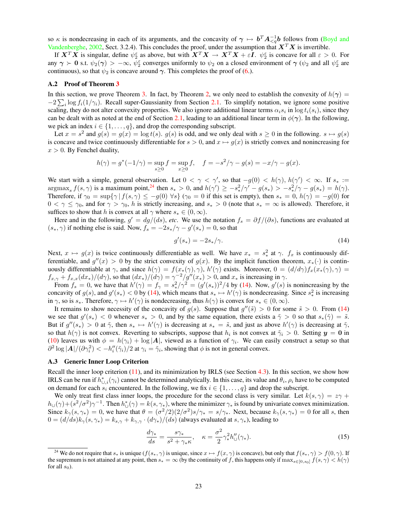so  $\kappa$  is nondecreasing in each of its arguments, and the concavity of  $\gamma \mapsto b^T A_{\leq q}^{-1} b$  follows from [\(Boyd and](#page-26-0) [Vandenberghe,](#page-26-0) [2002,](#page-26-0) Sect. 3.2.4). This concludes the proof, under the assumption that  $X^T X$  is invertible.

If  $X^TX$  is singular, define  $\psi_2^{\varepsilon}$  as above, but with  $X^TX \to X^TX + \varepsilon I$ .  $\psi_2^{\varepsilon}$  is concave for all  $\varepsilon > 0$ . For any  $\gamma \succ 0$  s.t.  $\psi_2(\gamma) > -\infty$ ,  $\psi_2^{\epsilon}$  converges uniformly to  $\psi_2$  on a closed environment of  $\gamma$  ( $\psi_2$  and all  $\psi_2^{\epsilon}$  are continuous), so that  $\psi_2$  is concave around  $\gamma$ . This completes the proof of [\(6.](#page-7-5)).

#### <span id="page-23-0"></span>A.2 Proof of Theorem [3](#page-8-3)

In this section, we prove Theorem [3.](#page-8-3) In fact, by Theorem [2,](#page-7-9) we only need to establish the convexity of  $h(\gamma)$  =  $-2\sum_i \log f_i(1/\gamma_i)$ . Recall super-Gaussianity from Section [2.1.](#page-4-6) To simplify notation, we ignore some positive scaling, they do not alter convexity properties. We also ignore additional linear terms  $\alpha_i s_i$  in  $\log t_i(s_i)$ , since they can be dealt with as noted at the end of Section [2.1,](#page-4-6) leading to an additional linear term in  $\phi(\gamma)$ . In the following, we pick an index  $i \in \{1, \ldots, q\}$ , and drop the corresponding subscript.

Let  $x = s^2$  and  $g(s) = g(x) = \log t(s)$ .  $g(s)$  is odd, and we only deal with  $s \ge 0$  in the following.  $s \mapsto g(s)$ is concave and twice continuously differentiable for  $s > 0$ , and  $x \mapsto g(x)$  is strictly convex and nonincreasing for  $x > 0$ . By Fenchel duality,

$$
h(\gamma) = g^*(-1/\gamma) = \sup_{s \ge 0} f = \sup_{x \ge 0} f, \quad f = -s^2/\gamma - g(s) = -x/\gamma - g(x).
$$

We start with a simple, general observation. Let  $0 < \gamma < \gamma'$ , so that  $-g(0) < h(\gamma)$ ,  $h(\gamma') < \infty$ . If  $s_* :=$  $\argmax_s f(s, \gamma)$  is a maximum point,<sup>[24](#page-23-2)</sup> then  $s_* > 0$ , and  $h(\gamma') \ge -s_*^2/\gamma' - g(s_*) > -s_*^2/\gamma - g(s_*) = h(\gamma)$ . Therefore, if  $\gamma_0 = \sup{\{\gamma | f(s, \gamma) \le -g(0) \,\forall s\}}$  ( $\gamma_0 = 0$  if this set is empty), then  $s_* = 0$ ,  $h(\gamma) = -g(0)$  for  $0 < \gamma \leq \gamma_0$ , and for  $\gamma > \gamma_0$ , h is strictly increasing, and  $s_* > 0$  (note that  $s_* = \infty$  is allowed). Therefore, it suffices to show that h is convex at all  $\gamma$  where  $s_* \in (0, \infty)$ .

Here and in the following,  $g' = dg/(ds)$ , *etc*. We use the notation  $f_s = \partial f/(\partial s)$ , functions are evaluated at  $(s_*, \gamma)$  if nothing else is said. Now,  $f_s = -2s_*/\gamma - g'(s_*) = 0$ , so that

<span id="page-23-3"></span>
$$
g'(s_*) = -2s_*/\gamma. \tag{14}
$$

Next,  $x \mapsto g(x)$  is twice continuously differentiable as well. We have  $x_* = s_*^2$  at  $\gamma$ .  $f_x$  is continuously differentiable, and  $g''(x) > 0$  by the strict convexity of  $g(x)$ . By the implicit function theorem,  $x_*(\cdot)$  is continuously differentiable at  $\gamma$ , and since  $h(\gamma) = f(x_*(\gamma), \gamma)$ ,  $h'(\gamma)$  exists. Moreover,  $0 = (d/d\gamma) f_x(x_*(\gamma), \gamma) =$  $f_{x,\gamma} + f_{x,x}(dx_*)/(d\gamma)$ , so that  $(dx_*)/(d\gamma) = \gamma^{-2}/g''(x_*) > 0$ , and  $x_*$  is increasing in  $\gamma$ .

From  $f_s = 0$ , we have that  $h'(\gamma) = f_\gamma = s_*^2/\gamma^2 = (g'(s_*))^2/4$  by [\(14\)](#page-23-3). Now,  $g'(s)$  is nonincreasing by the concavity of  $g(s)$ , and  $g'(s_*) < 0$  by [\(14\)](#page-23-3), which means that  $s_* \mapsto h'(\gamma)$  is nondecreasing. Since  $s_*^2$  is increasing in  $\gamma$ , so is  $s_*$ . Therefore,  $\gamma \mapsto h'(\gamma)$  is nondecreasing, thus  $h(\gamma)$  is convex for  $s_* \in (0, \infty)$ .

It remains to show necessity of the concavity of  $g(s)$ . Suppose that  $g''(\tilde{s}) > 0$  for some  $\tilde{s} > 0$ . From [\(14\)](#page-23-3) we see that  $g'(s_*) < 0$  whenever  $s_* > 0$ , and by the same equation, there exists a  $\tilde{\gamma} > 0$  so that  $s_*(\tilde{\gamma}) = \tilde{s}$ . But if  $g''(s_*) > 0$  at  $\tilde{\gamma}$ , then  $s_* \mapsto h'(\gamma)$  is decreasing at  $s_* = \tilde{s}$ , and just as above  $h'(\gamma)$  is decreasing at  $\tilde{\gamma}$ , so that  $h(\gamma)$  is not convex. Reverting to subscripts, suppose that  $h_i$  is not convex at  $\tilde{\gamma}_i > 0$ . Setting  $y = 0$  in [\(10\)](#page-6-2) leaves us with  $\phi = h(\gamma_i) + \log |A|$ , viewed as a function of  $\gamma_i$ . We can easily construct a setup so that  $\partial^2 \log |A|/(\partial \gamma_i^2) < -h''_i(\tilde{\gamma}_i)/2$  at  $\gamma_i = \tilde{\gamma}_i$ , showing that  $\phi$  is not in general convex.

## <span id="page-23-1"></span>A.3 Generic Inner Loop Criterion

Recall the inner loop criterion  $(11)$ , and its minimization by IRLS (see Section [4.3\)](#page-11-0). In this section, we show how IRLS can be run if  $h_{\cup,i}^*(\gamma_i)$  cannot be determined analytically. In this case, its value and  $\theta_i$ ,  $\rho_i$  have to be computed on demand for each  $s_i$  encountered. In the following, we fix  $i \in \{1, \ldots, q\}$  and drop the subscript.

We only treat first class inner loops, the procedure for the second class is very similar. Let  $k(s, \gamma) = z\gamma + \gamma$  $h_U(\gamma)+(s^2/\sigma^2)\gamma^{-1}$ . Then  $h_U^*(\gamma)=k(s,\gamma_*),$  where the minimizer  $\gamma_*$  is found by univariate convex minimization. Since  $k_{\gamma}(s, \gamma_*) = 0$ , we have that  $\theta = (\sigma^2/2)(2/\sigma^2)s/\gamma_* = s/\gamma_*$ . Next, because  $k_{\gamma}(s, \gamma_*) = 0$  for all s, then  $0 = (d/ds)k_{\gamma}(s, \gamma_*) = k_{s,\gamma} + k_{\gamma,\gamma} \cdot (d\gamma_*)/(ds)$  (always evaluated at  $s, \gamma_*)$ , leading to

<span id="page-23-4"></span>
$$
\frac{d\gamma_*}{ds} = \frac{s\gamma_*}{s^2 + \gamma_*\kappa}, \quad \kappa = \frac{\sigma^2}{2} \gamma_*^2 h''_{\cup}(\gamma_*). \tag{15}
$$

<span id="page-23-2"></span><sup>&</sup>lt;sup>24</sup> We do not require that  $s_*$  is unique  $(f(s_*, \gamma))$  is unique, since  $x \mapsto f(x, \gamma)$  is concave), but only that  $f(s_*, \gamma) > f(0, \gamma)$ . If the supremum is not attained at any point, then  $s_* = \infty$  (by the continuity of f, this happens only if  $\max_{s \in [0, s_0]} f(s, \gamma) < h(\gamma)$ for all  $s_0$ ).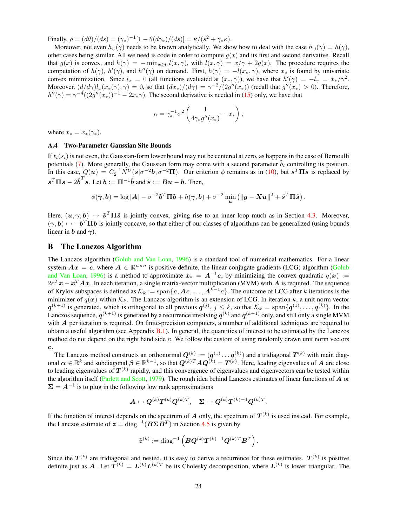Finally,  $\rho = (d\theta)/(ds) = (\gamma_*)^{-1}[1 - \theta(d\gamma_*)/(ds)] = \kappa/(s^2 + \gamma_* \kappa).$ 

Moreover, not even  $h_{\cup}(\gamma)$  needs to be known analytically. We show how to deal with the case  $h_{\cup}(\gamma) = h(\gamma)$ , other cases being similar. All we need is code in order to compute  $g(x)$  and its first and second derivative. Recall that  $g(x)$  is convex, and  $h(\gamma) = -\min_{x>0} l(x, \gamma)$ , with  $l(x, \gamma) = x/\gamma + 2g(x)$ . The procedure requires the computation of  $h(\gamma)$ ,  $h'(\gamma)$ , and  $h''(\gamma)$  on demand. First,  $h(\gamma) = -l(x_*, \gamma)$ , where  $x_*$  is found by univariate convex minimization. Since  $l_x = 0$  (all functions evaluated at  $(x_*, \gamma)$ ), we have that  $h'(\gamma) = -l_\gamma = x_*/\gamma^2$ . Moreover,  $(d/d\gamma)l_x(x_*(\gamma), \gamma) = 0$ , so that  $(dx_*)/(d\gamma) = \gamma^{-2}/(2g''(x_*))$  (recall that  $g''(x_*) > 0$ ). Therefore,  $h''(\gamma) = \gamma^{-4}((2g''(x_{*}))^{-1} - 2x_{*}\gamma)$ . The second derivative is needed in [\(15\)](#page-23-4) only, we have that

$$
\kappa = \gamma_*^{-1} \sigma^2 \left( \frac{1}{4\gamma_* g''(x_*)} - x_* \right),
$$

where  $x_* = x_*(\gamma_*).$ 

#### <span id="page-24-0"></span>A.4 Two-Parameter Gaussian Site Bounds

If  $t_i(s_i)$  is not even, the Gaussian-form lower bound may not be centered at zero, as happens in the case of Bernoulli potentials [\(7\)](#page-5-3). More generally, the Gaussian form may come with a second parameter  $\tilde{b}_i$  controlling its position. In this case,  $Q(u) = C_2^{-1} N^U(s | \sigma^{-2} \tilde{b}, \sigma^{-2} \Pi)$ . Our criterion  $\phi$  remains as in [\(10\)](#page-6-2), but  $s^T \Pi s$  is replaced by  $s^T\Pi s - 2\tilde{b}^T s$ . Let  $b := \Pi^{-1}\tilde{b}$  and  $\tilde{s} := Bu - b$ . Then,

$$
\phi(\boldsymbol{\gamma},\boldsymbol{b})=\log|\boldsymbol{A}|-\sigma^{-2}\boldsymbol{b}^T\boldsymbol{\Pi}\boldsymbol{b}+h(\boldsymbol{\gamma},\boldsymbol{b})+\sigma^{-2}\min_{\boldsymbol{u}}\left(\|\boldsymbol{y}-\boldsymbol{X}\boldsymbol{u}\|^2+\tilde{\boldsymbol{s}}^T\boldsymbol{\Pi}\tilde{\boldsymbol{s}}\right).
$$

Here,  $(u, \gamma, b) \mapsto \tilde{s}^T \Pi \tilde{s}$  is jointly convex, giving rise to an inner loop much as in Section [4.3.](#page-11-0) Moreover,  $(\gamma, b) \mapsto -b^T \Pi b$  is jointly concave, so that either of our classes of algorithms can be generalized (using bounds linear in b and  $\gamma$ ).

## <span id="page-24-1"></span>B The Lanczos Algorithm

The Lanczos algorithm [\(Golub and Van Loan,](#page-27-13) [1996\)](#page-27-13) is a standard tool of numerical mathematics. For a linear system  $Ax = c$ , where  $A \in \mathbb{R}^{n \times n}$  is positive definite, the linear conjugate gradients (LCG) algorithm [\(Golub](#page-27-13) [and Van Loan,](#page-27-13) [1996\)](#page-27-13) is a method to approximate  $x_* = A^{-1}c$ , by minimizing the convex quadratic  $q(x) :=$  $2c^T x - x^T A x$ . In each iteration, a single matrix-vector multiplication (MVM) with A is required. The sequence of Krylov subspaces is defined as  $\mathcal{K}_k := \text{span}\{\mathbf{c}, \mathbf{A}\mathbf{c}, \dots, \mathbf{A}^{k-1}\mathbf{c}\}\.$  The outcome of LCG after k iterations is the minimizer of  $q(x)$  within  $\mathcal{K}_k$ . The Lanczos algorithm is an extension of LCG. In iteration k, a unit norm vector  $q^{(k+1)}$  is generated, which is orthogonal to all previous  $q^{(j)}$ ,  $j \leq k$ , so that  $\mathcal{K}_k = \text{span}\{q^{(1)}, \ldots, q^{(k)}\}$ . In the Lanczos sequence,  $q^{(k+1)}$  is generated by a recurrence involving  $q^{(k)}$  and  $q^{(k-1)}$  only, and still only a single MVM with  $A$  per iteration is required. On finite-precision computers, a number of additional techniques are required to obtain a useful algorithm (see Appendix [B.1\)](#page-25-0). In general, the quantities of interest to be estimated by the Lanczos method do not depend on the right hand side c. We follow the custom of using randomly drawn unit norm vectors c.

The Lanczos method constructs an orthonormal  $Q^{(k)} := (q^{(1)} \dots q^{(k)})$  and a tridiagonal  $T^{(k)}$  with main diagonal  $\alpha \in \mathbb{R}^k$  and subdiagonal  $\beta \in \mathbb{R}^{k-1}$ , so that  $Q^{(k)T}AQ^{(k)} = T^{(k)}$ . Here, leading eigenvalues of A are close to leading eigenvalues of  $T^{(k)}$  rapidly, and this convergence of eigenvalues and eigenvectors can be tested within the algorithm itself [\(Parlett and Scott,](#page-27-22) [1979\)](#page-27-22). The rough idea behind Lanczos estimates of linear functions of  $\bm{A}$  or  $\Sigma = A^{-1}$  is to plug in the following low rank approximations

$$
\boldsymbol{A}\mapsto \boldsymbol{Q}^{(k)}\boldsymbol{T}^{(k)}\boldsymbol{Q}^{(k)T},\quad \boldsymbol{\Sigma}\mapsto \boldsymbol{Q}^{(k)}\boldsymbol{T}^{(k)-1}\boldsymbol{Q}^{(k)T}.
$$

If the function of interest depends on the spectrum of  $A$  only, the spectrum of  $T^{(k)}$  is used instead. For example, the Lanczos estimate of  $\tilde{z} = diag^{-1}(B\Sigma \tilde{B}^T)$  in Section [4.5](#page-13-0) is given by

$$
\tilde{\boldsymbol{z}}^{(k)}:=\text{diag}^{-1}\left(\boldsymbol{B}\boldsymbol{Q}^{(k)}\boldsymbol{T}^{(k)-1}\boldsymbol{Q}^{(k)T}\boldsymbol{B}^T\right).
$$

Since the  $T^{(k)}$  are tridiagonal and nested, it is easy to derive a recurrence for these estimates.  $T^{(k)}$  is positive definite just as A. Let  $T^{(k)} = L^{(k)} L^{(k)T}$  be its Cholesky decomposition, where  $L^{(k)}$  is lower triangular. The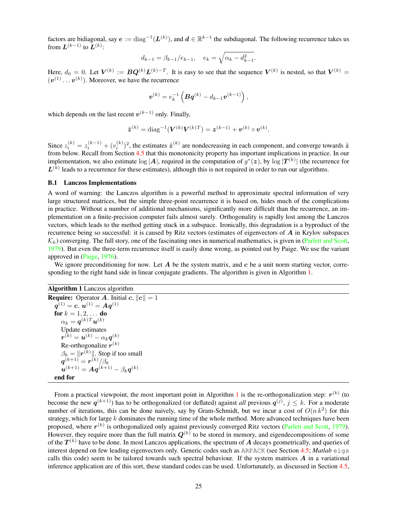factors are bidiagonal, say  $e := diag^{-1}(L^{(k)})$ , and  $d \in \mathbb{R}^{k-1}$  the subdiagonal. The following recurrence takes us from  $\mathbf{L}^{(k-1)}$  to  $\mathbf{L}^{(k)}$ :

$$
d_{k-1} = \beta_{k-1}/e_{k-1}, \quad e_k = \sqrt{\alpha_k - d_{k-1}^2}.
$$

Here,  $d_0 = 0$ . Let  $V^{(k)} := BQ^{(k)}L^{(k)-T}$ . It is easy to see that the sequence  $V^{(k)}$  is nested, so that  $V^{(k)} =$  $(v^{(1)} \dots v^{(k)})$ . Moreover, we have the recurrence

$$
\bm{v}^{(k)}=e_k^{-1}\left(\bm{B}\bm{q}^{(k)}-d_{k-1}\bm{v}^{(k-1)}\right),
$$

which depends on the last recent  $v^{(k-1)}$  only. Finally,

$$
\tilde{\pmb{z}}^{(k)} = \text{diag}^{-1}(\pmb{V}^{(k)}\pmb{V}^{(k)T}) = \pmb{z}^{(k-1)} + \pmb{v}^{(k)} \circ \pmb{v}^{(k)}.
$$

Since  $z_i^{(k)} = z_i^{(k-1)} + (v_i^{(k)})^2$ , the estimates  $\tilde{z}^{(k)}$  are nondecreasing in each component, and converge towards  $\tilde{z}$ from below. Recall from Section [4.5](#page-13-0) that this monotonicity property has important implications in practice. In our implementation, we also estimate  $\log |A|$ , required in the computation of  $g^*(z)$ , by  $\log |T^{(k)}|$  (the recurrence for  $L^{(k)}$  leads to a recurrence for these estimates), although this is not required in order to run our algorithms.

## <span id="page-25-0"></span>B.1 Lanczos Implementations

A word of warning: the Lanczos algorithm is a powerful method to approximate spectral information of very large structured matrices, but the simple three-point recurrence it is based on, hides much of the complications in practice. Without a number of additional mechanisms, significantly more difficult than the recurrence, an implementation on a finite-precision computer fails almost surely. Orthogonality is rapidly lost among the Lanczos vectors, which leads to the method getting stuck in a subspace. Ironically, this degradation is a byproduct of the recurrence being so successful: it is caused by Ritz vectors (estimates of eigenvectors of  $\vec{A}$  in Krylov subspaces  $\mathcal{K}_k$ ) converging. The full story, one of the fascinating ones in numerical mathematics, is given in [\(Parlett and Scott,](#page-27-22) [1979\)](#page-27-22). But even the three-term recurrence itself is easily done wrong, as pointed out by Paige. We use the variant approved in [\(Paige,](#page-27-23) [1976\)](#page-27-23).

We ignore preconditioning for now. Let  $A$  be the system matrix, and  $c$  be a unit norm starting vector, corresponding to the right hand side in linear conjugate gradients. The algorithm is given in Algorithm [1.](#page-25-1)

```
Algorithm 1 Lanczos algorithm
```

| <b>Require:</b> Operator A. Initial $c,   c   = 1$                            |
|-------------------------------------------------------------------------------|
| $q^{(1)} = c$ , $u^{(1)} = Aq^{(1)}$                                          |
| for $k = 1, 2, $ do                                                           |
| $\alpha_k = \boldsymbol{q}^{(k)T} \boldsymbol{u}^{(k)}$                       |
| Update estimates                                                              |
| $\boldsymbol{r}^{(k)} = \boldsymbol{u}^{(k)} - \alpha_k \boldsymbol{q}^{(k)}$ |
| Re-orthogonalize $r^{(k)}$                                                    |
| $\beta_k =   \boldsymbol{r}^{(k)}  $ . Stop if too small                      |
| ${\bm q}^{(k+1)} = {\bm r}^{(k)}/\beta_k$                                     |
| $u^{(k+1)} = Aq^{(k+1)} - \beta_k q^{(k)}$                                    |
| end for                                                                       |

From a practical viewpoint, the most important point in Algorithm [1](#page-25-1) is the re-orthogonalization step:  $r^{(k)}$  (to become the new  $q^{(k+1)}$ ) has to be orthogonalized (or deflated) against *all* previous  $q^{(j)}$ ,  $j \leq k$ . For a moderate number of iterations, this can be done naively, say by Gram-Schmidt, but we incur a cost of  $O(n k^2)$  for this strategy, which for large k dominates the running time of the whole method. More advanced techniques have been proposed, where  $r^{(k)}$  is orthogonalized only against previously converged Ritz vectors [\(Parlett and Scott,](#page-27-22) [1979\)](#page-27-22). However, they require more than the full matrix  $Q^{(k)}$  to be stored in memory, and eigendecompositions of some of the  $T^{(k)}$  have to be done. In most Lanczos applications, the spectrum of  $A$  decays geometrically, and queries of interest depend on few leading eigenvectors only. Generic codes such as ARPACK (see Section [4.5;](#page-13-0) *Matlab* eigs calls this code) seem to be tailored towards such spectral behaviour. If the system matrices  $\vec{A}$  in a variational inference application are of this sort, these standard codes can be used. Unfortunately, as discussed in Section [4.5,](#page-13-0)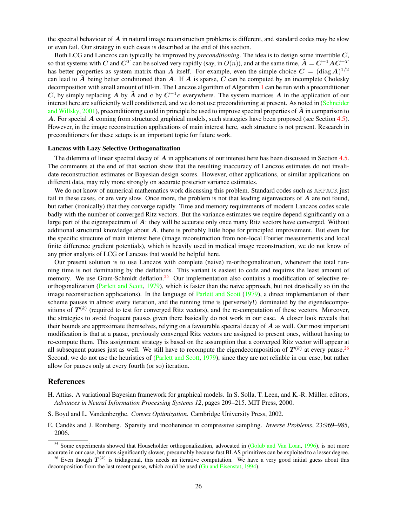the spectral behaviour of  $A$  in natural image reconstruction problems is different, and standard codes may be slow or even fail. Our strategy in such cases is described at the end of this section.

Both LCG and Lanczos can typically be improved by *preconditioning*. The idea is to design some invertible C, so that systems with C and  $C^T$  can be solved very rapidly (say, in  $O(n)$ ), and at the same time,  $\tilde{A} = C^{-1}AC^{-T}$ has better properties as system matrix than A itself. For example, even the simple choice  $C = (\text{diag } A)^{1/2}$ can lead to A being better conditioned than A. If A is sparse, C can be computed by an incomplete Cholesky decomposition with small amount of fill-in. The Lanczos algorithm of Algorithm [1](#page-25-1) can be run with a preconditioner C, by simply replacing A by  $\tilde{A}$  and c by  $C^{-1}c$  everywhere. The system matrices A in the application of our interest here are sufficiently well conditioned, and we do not use preconditioning at present. As noted in [\(Schneider](#page-28-15) [and Willsky,](#page-28-15) [2001\)](#page-28-15), preconditioning could in principle be used to improve spectral properties of  $\bm{A}$  in comparison to A. For special A coming from structured graphical models, such strategies have been proposed (see Section [4.5\)](#page-13-0). However, in the image reconstruction applications of main interest here, such structure is not present. Research in preconditioners for these setups is an important topic for future work.

#### Lanczos with Lazy Selective Orthogonalization

The dilemma of linear spectral decay of  $\vec{A}$  in applications of our interest here has been discussed in Section [4.5.](#page-13-0) The comments at the end of that section show that the resulting inaccuracy of Lanczos estimates do not invalidate reconstruction estimates or Bayesian design scores. However, other applications, or similar applications on different data, may rely more strongly on accurate posterior variance estimates.

We do not know of numerical mathematics work discussing this problem. Standard codes such as ARPACK just fail in these cases, or are very slow. Once more, the problem is not that leading eigenvectors of A are not found, but rather (ironically) that they converge rapidly. Time and memory requirements of modern Lanczos codes scale badly with the number of converged Ritz vectors. But the variance estimates we require depend significantly on a large part of the eigenspectrum of  $\tilde{A}$ : they will be accurate only once many Ritz vectors have converged. Without additional structural knowledge about  $A$ , there is probably little hope for principled improvement. But even for the specific structure of main interest here (image reconstruction from non-local Fourier measurements and local finite difference gradient potentials), which is heavily used in medical image reconstruction, we do not know of any prior analysis of LCG or Lanczos that would be helpful here.

Our present solution is to use Lanczos with complete (naive) re-orthogonalization, whenever the total running time is not dominating by the deflations. This variant is easiest to code and requires the least amount of memory. We use Gram-Schmidt deflation.<sup>[25](#page-26-3)</sup> Our implementation also contains a modification of selective reorthogonalization [\(Parlett and Scott,](#page-27-22) [1979\)](#page-27-22), which is faster than the naive approach, but not drastically so (in the image reconstruction applications). In the language of [Parlett and Scott](#page-27-22) [\(1979\)](#page-27-22), a direct implementation of their scheme pauses in almost every iteration, and the running time is (perversely!) dominated by the eigendecompositions of  $T^{(k)}$  (required to test for converged Ritz vectors), and the re-computation of these vectors. Moreover, the strategies to avoid frequent pauses given there basically do not work in our case. A closer look reveals that their bounds are approximate themselves, relying on a favourable spectral decay of A as well. Our most important modification is that at a pause, previously converged Ritz vectors are assigned to present ones, without having to re-compute them. This assignment strategy is based on the assumption that a converged Ritz vector will appear at all subsequent pauses just as well. We still have to recompute the eigendecomposition of  $T^{(k)}$  at every pause.<sup>[26](#page-26-4)</sup> Second, we do not use the heuristics of [\(Parlett and Scott,](#page-27-22) [1979\)](#page-27-22), since they are not reliable in our case, but rather allow for pauses only at every fourth (or so) iteration.

## References

- <span id="page-26-1"></span>H. Attias. A variational Bayesian framework for graphical models. In S. Solla, T. Leen, and K.-R. Muller, editors, ¨ *Advances in Neural Information Processing Systems 12*, pages 209–215. MIT Press, 2000.
- <span id="page-26-0"></span>S. Boyd and L. Vandenberghe. *Convex Optimization*. Cambridge University Press, 2002.
- <span id="page-26-2"></span>E. Candes and J. Romberg. Sparsity and incoherence in compressive sampling. ` *Inverse Problems*, 23:969–985, 2006.

<span id="page-26-3"></span><sup>&</sup>lt;sup>25</sup> Some experiments showed that Householder orthogonalization, advocated in [\(Golub and Van Loan,](#page-27-13) [1996\)](#page-27-13), is not more accurate in our case, but runs significantly slower, presumably because fast BLAS primitives can be exploited to a lesser degree.

<span id="page-26-4"></span><sup>&</sup>lt;sup>26</sup> Even though  $T^{(k)}$  is tridiagonal, this needs an iterative computation. We have a very good initial guess about this decomposition from the last recent pause, which could be used [\(Gu and Eisenstat,](#page-27-24) [1994\)](#page-27-24).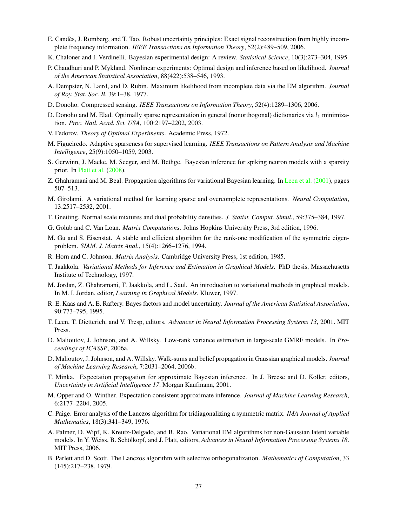- <span id="page-27-1"></span>E. Candes, J. Romberg, and T. Tao. Robust uncertainty principles: Exact signal reconstruction from highly incom- ` plete frequency information. *IEEE Transactions on Information Theory*, 52(2):489–509, 2006.
- <span id="page-27-20"></span>K. Chaloner and I. Verdinelli. Bayesian experimental design: A review. *Statistical Science*, 10(3):273–304, 1995.
- <span id="page-27-17"></span>P. Chaudhuri and P. Mykland. Nonlinear experiments: Optimal design and inference based on likelihood. *Journal of the American Statistical Association*, 88(422):538–546, 1993.
- <span id="page-27-12"></span>A. Dempster, N. Laird, and D. Rubin. Maximum likelihood from incomplete data via the EM algorithm. *Journal of Roy. Stat. Soc. B*, 39:1–38, 1977.
- <span id="page-27-0"></span>D. Donoho. Compressed sensing. *IEEE Transactions on Information Theory*, 52(4):1289–1306, 2006.
- <span id="page-27-2"></span>D. Donoho and M. Elad. Optimally sparse representation in general (nonorthogonal) dictionaries via  $l_1$  minimization. *Proc. Natl. Acad. Sci. USA*, 100:2197–2202, 2003.
- <span id="page-27-18"></span>V. Fedorov. *Theory of Optimal Experiments*. Academic Press, 1972.
- <span id="page-27-7"></span>M. Figueiredo. Adaptive sparseness for supervised learning. *IEEE Transactions on Pattern Analysis and Machine Intelligence*, 25(9):1050–1059, 2003.
- <span id="page-27-21"></span>S. Gerwinn, J. Macke, M. Seeger, and M. Bethge. Bayesian inference for spiking neuron models with a sparsity prior. In [Platt et al.](#page-28-19) [\(2008\)](#page-28-19).
- <span id="page-27-9"></span>Z. Ghahramani and M. Beal. Propagation algorithms for variational Bayesian learning. In [Leen et al.](#page-27-25) [\(2001\)](#page-27-25), pages 507–513.
- <span id="page-27-5"></span>M. Girolami. A variational method for learning sparse and overcomplete representations. *Neural Computation*, 13:2517–2532, 2001.
- <span id="page-27-6"></span>T. Gneiting. Normal scale mixtures and dual probability densities. *J. Statist. Comput. Simul.*, 59:375–384, 1997.
- <span id="page-27-13"></span>G. Golub and C. Van Loan. *Matrix Computations*. Johns Hopkins University Press, 3rd edition, 1996.
- <span id="page-27-24"></span>M. Gu and S. Eisenstat. A stable and efficient algorithm for the rank-one modification of the symmetric eigenproblem. *SIAM. J. Matrix Anal.*, 15(4):1266–1276, 1994.
- <span id="page-27-19"></span>R. Horn and C. Johnson. *Matrix Analysis*. Cambridge University Press, 1st edition, 1985.
- <span id="page-27-3"></span>T. Jaakkola. *Variational Methods for Inference and Estimation in Graphical Models*. PhD thesis, Massachusetts Institute of Technology, 1997.
- <span id="page-27-10"></span>M. Jordan, Z. Ghahramani, T. Jaakkola, and L. Saul. An introduction to variational methods in graphical models. In M. I. Jordan, editor, *Learning in Graphical Models*. Kluwer, 1997.
- <span id="page-27-16"></span>R. E. Kaas and A. E. Raftery. Bayes factors and model uncertainty. *Journal of the American Statistical Association*, 90:773–795, 1995.
- <span id="page-27-25"></span>T. Leen, T. Dietterich, and V. Tresp, editors. *Advances in Neural Information Processing Systems 13*, 2001. MIT Press.
- <span id="page-27-14"></span>D. Malioutov, J. Johnson, and A. Willsky. Low-rank variance estimation in large-scale GMRF models. In *Proceedings of ICASSP*, 2006a.
- <span id="page-27-15"></span>D. Malioutov, J. Johnson, and A. Willsky. Walk-sums and belief propagation in Gaussian graphical models. *Journal of Machine Learning Research*, 7:2031–2064, 2006b.
- <span id="page-27-8"></span>T. Minka. Expectation propagation for approximate Bayesian inference. In J. Breese and D. Koller, editors, *Uncertainty in Artificial Intelligence 17*. Morgan Kaufmann, 2001.
- <span id="page-27-11"></span>M. Opper and O. Winther. Expectation consistent approximate inference. *Journal of Machine Learning Research*, 6:2177–2204, 2005.
- <span id="page-27-23"></span>C. Paige. Error analysis of the Lanczos algorithm for tridiagonalizing a symmetric matrix. *IMA Journal of Applied Mathematics*, 18(3):341–349, 1976.
- <span id="page-27-4"></span>A. Palmer, D. Wipf, K. Kreutz-Delgado, and B. Rao. Variational EM algorithms for non-Gaussian latent variable models. In Y. Weiss, B. Schölkopf, and J. Platt, editors, *Advances in Neural Information Processing Systems 18*. MIT Press, 2006.
- <span id="page-27-22"></span>B. Parlett and D. Scott. The Lanczos algorithm with selective orthogonalization. *Mathematics of Computation*, 33 (145):217–238, 1979.